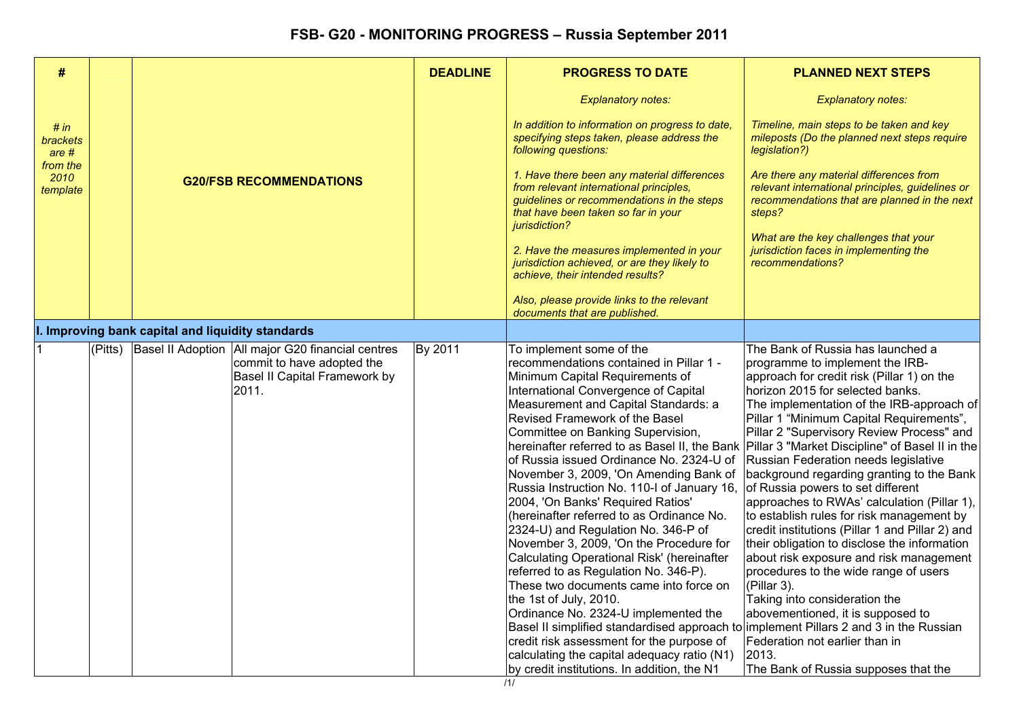| #                            |                                |                                                  |                                                                                                                             | <b>DEADLINE</b>                                                                                                                                                                              | <b>PROGRESS TO DATE</b>                                                                                                                                                                                                                                                                                                                                                                                                                                                                                                                                                                                                                                                                                                                                                                                                                                                                                                                                                                                                                                | <b>PLANNED NEXT STEPS</b>                                                                                                                                                                                                                                                                                                                                                                                                                                                                                                                                                                                                                                                                                                                                                                                                                                                                                                                     |
|------------------------------|--------------------------------|--------------------------------------------------|-----------------------------------------------------------------------------------------------------------------------------|----------------------------------------------------------------------------------------------------------------------------------------------------------------------------------------------|--------------------------------------------------------------------------------------------------------------------------------------------------------------------------------------------------------------------------------------------------------------------------------------------------------------------------------------------------------------------------------------------------------------------------------------------------------------------------------------------------------------------------------------------------------------------------------------------------------------------------------------------------------------------------------------------------------------------------------------------------------------------------------------------------------------------------------------------------------------------------------------------------------------------------------------------------------------------------------------------------------------------------------------------------------|-----------------------------------------------------------------------------------------------------------------------------------------------------------------------------------------------------------------------------------------------------------------------------------------------------------------------------------------------------------------------------------------------------------------------------------------------------------------------------------------------------------------------------------------------------------------------------------------------------------------------------------------------------------------------------------------------------------------------------------------------------------------------------------------------------------------------------------------------------------------------------------------------------------------------------------------------|
|                              |                                |                                                  |                                                                                                                             |                                                                                                                                                                                              | <b>Explanatory notes:</b>                                                                                                                                                                                                                                                                                                                                                                                                                                                                                                                                                                                                                                                                                                                                                                                                                                                                                                                                                                                                                              | <b>Explanatory notes:</b>                                                                                                                                                                                                                                                                                                                                                                                                                                                                                                                                                                                                                                                                                                                                                                                                                                                                                                                     |
| # in<br>brackets<br>are #    |                                |                                                  |                                                                                                                             |                                                                                                                                                                                              | In addition to information on progress to date,<br>specifying steps taken, please address the<br>following questions:                                                                                                                                                                                                                                                                                                                                                                                                                                                                                                                                                                                                                                                                                                                                                                                                                                                                                                                                  | Timeline, main steps to be taken and key<br>mileposts (Do the planned next steps require<br>legislation?)                                                                                                                                                                                                                                                                                                                                                                                                                                                                                                                                                                                                                                                                                                                                                                                                                                     |
| from the<br>2010<br>template | <b>G20/FSB RECOMMENDATIONS</b> |                                                  |                                                                                                                             | 1. Have there been any material differences<br>from relevant international principles,<br>guidelines or recommendations in the steps<br>that have been taken so far in your<br>jurisdiction? | Are there any material differences from<br>relevant international principles, guidelines or<br>recommendations that are planned in the next<br>steps?                                                                                                                                                                                                                                                                                                                                                                                                                                                                                                                                                                                                                                                                                                                                                                                                                                                                                                  |                                                                                                                                                                                                                                                                                                                                                                                                                                                                                                                                                                                                                                                                                                                                                                                                                                                                                                                                               |
|                              |                                |                                                  |                                                                                                                             |                                                                                                                                                                                              | 2. Have the measures implemented in your<br>jurisdiction achieved, or are they likely to<br>achieve, their intended results?                                                                                                                                                                                                                                                                                                                                                                                                                                                                                                                                                                                                                                                                                                                                                                                                                                                                                                                           | What are the key challenges that your<br>jurisdiction faces in implementing the<br>recommendations?                                                                                                                                                                                                                                                                                                                                                                                                                                                                                                                                                                                                                                                                                                                                                                                                                                           |
|                              |                                |                                                  |                                                                                                                             |                                                                                                                                                                                              | Also, please provide links to the relevant<br>documents that are published.                                                                                                                                                                                                                                                                                                                                                                                                                                                                                                                                                                                                                                                                                                                                                                                                                                                                                                                                                                            |                                                                                                                                                                                                                                                                                                                                                                                                                                                                                                                                                                                                                                                                                                                                                                                                                                                                                                                                               |
|                              |                                | . Improving bank capital and liquidity standards |                                                                                                                             |                                                                                                                                                                                              |                                                                                                                                                                                                                                                                                                                                                                                                                                                                                                                                                                                                                                                                                                                                                                                                                                                                                                                                                                                                                                                        |                                                                                                                                                                                                                                                                                                                                                                                                                                                                                                                                                                                                                                                                                                                                                                                                                                                                                                                                               |
|                              | (Pitts)                        |                                                  | Basel II Adoption   All major G20 financial centres<br>commit to have adopted the<br>Basel II Capital Framework by<br>2011. | By 2011                                                                                                                                                                                      | To implement some of the<br>recommendations contained in Pillar 1 -<br>Minimum Capital Requirements of<br>International Convergence of Capital<br>Measurement and Capital Standards: a<br>Revised Framework of the Basel<br>Committee on Banking Supervision,<br>of Russia issued Ordinance No. 2324-U of<br>November 3, 2009, 'On Amending Bank of<br>Russia Instruction No. 110-I of January 16, of Russia powers to set different<br>2004, 'On Banks' Required Ratios'<br>(hereinafter referred to as Ordinance No.<br>2324-U) and Regulation No. 346-P of<br>November 3, 2009, 'On the Procedure for<br><b>Calculating Operational Risk' (hereinafter</b><br>referred to as Regulation No. 346-P).<br>These two documents came into force on<br>the 1st of July, 2010.<br>Ordinance No. 2324-U implemented the<br>Basel II simplified standardised approach to implement Pillars 2 and 3 in the Russian<br>credit risk assessment for the purpose of<br>calculating the capital adequacy ratio (N1)<br>by credit institutions. In addition, the N1 | The Bank of Russia has launched a<br>programme to implement the IRB-<br>approach for credit risk (Pillar 1) on the<br>horizon 2015 for selected banks.<br>The implementation of the IRB-approach of<br>Pillar 1 "Minimum Capital Requirements",<br>Pillar 2 "Supervisory Review Process" and<br>hereinafter referred to as Basel II, the Bank Pillar 3 "Market Discipline" of Basel II in the<br>Russian Federation needs legislative<br>background regarding granting to the Bank<br>approaches to RWAs' calculation (Pillar 1),<br>to establish rules for risk management by<br>credit institutions (Pillar 1 and Pillar 2) and<br>their obligation to disclose the information<br>about risk exposure and risk management<br>procedures to the wide range of users<br>(Pillar 3).<br>Taking into consideration the<br>abovementioned, it is supposed to<br>Federation not earlier than in<br>2013.<br>The Bank of Russia supposes that the |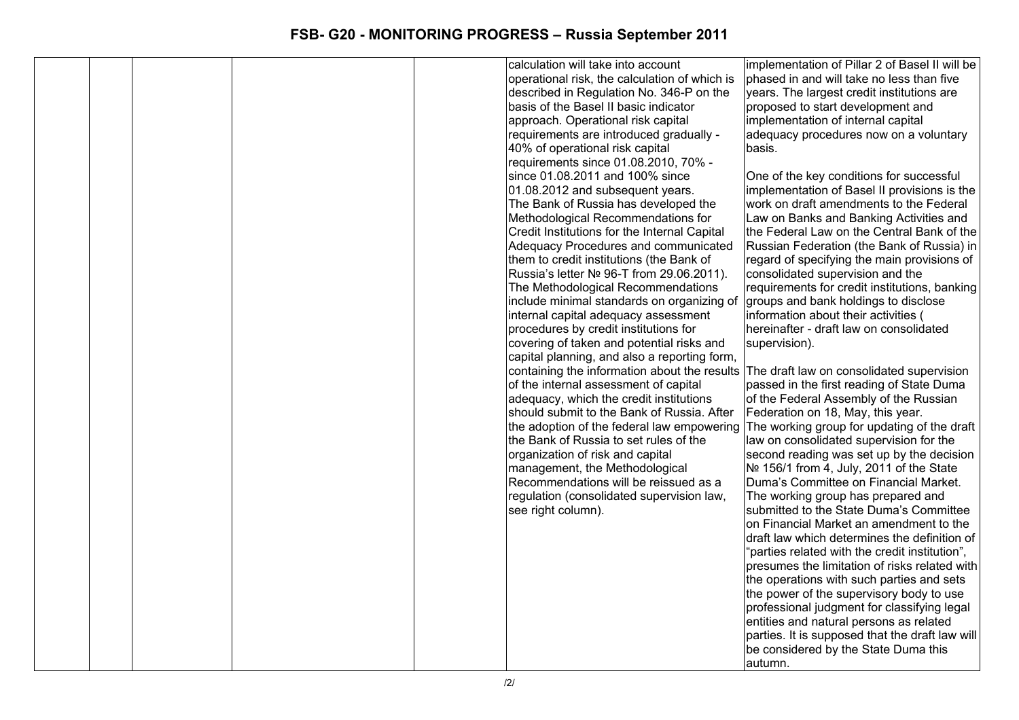|  |  | calculation will take into account                                                    | implementation of Pillar 2 of Basel II will be                                   |
|--|--|---------------------------------------------------------------------------------------|----------------------------------------------------------------------------------|
|  |  | operational risk, the calculation of which is                                         | phased in and will take no less than five                                        |
|  |  | described in Regulation No. 346-P on the                                              | years. The largest credit institutions are                                       |
|  |  | basis of the Basel II basic indicator                                                 | proposed to start development and                                                |
|  |  | approach. Operational risk capital                                                    | implementation of internal capital                                               |
|  |  | requirements are introduced gradually -                                               | adequacy procedures now on a voluntary                                           |
|  |  | 40% of operational risk capital                                                       | basis.                                                                           |
|  |  | requirements since 01.08.2010, 70% -                                                  |                                                                                  |
|  |  | since 01.08.2011 and 100% since                                                       | One of the key conditions for successful                                         |
|  |  | 01.08.2012 and subsequent years.                                                      | implementation of Basel II provisions is the                                     |
|  |  | The Bank of Russia has developed the                                                  | work on draft amendments to the Federal                                          |
|  |  | Methodological Recommendations for                                                    | Law on Banks and Banking Activities and                                          |
|  |  | Credit Institutions for the Internal Capital                                          | the Federal Law on the Central Bank of the                                       |
|  |  | Adequacy Procedures and communicated                                                  | Russian Federation (the Bank of Russia) in                                       |
|  |  | them to credit institutions (the Bank of                                              | regard of specifying the main provisions of                                      |
|  |  | Russia's letter Nº 96-T from 29.06.2011).                                             | consolidated supervision and the                                                 |
|  |  | The Methodological Recommendations                                                    | requirements for credit institutions, banking                                    |
|  |  | include minimal standards on organizing of                                            | groups and bank holdings to disclose                                             |
|  |  | internal capital adequacy assessment                                                  | information about their activities (                                             |
|  |  | procedures by credit institutions for                                                 | hereinafter - draft law on consolidated                                          |
|  |  | covering of taken and potential risks and                                             | supervision).                                                                    |
|  |  | capital planning, and also a reporting form,                                          |                                                                                  |
|  |  | containing the information about the results                                          | The draft law on consolidated supervision                                        |
|  |  | of the internal assessment of capital                                                 | passed in the first reading of State Duma                                        |
|  |  | adequacy, which the credit institutions<br>should submit to the Bank of Russia. After | of the Federal Assembly of the Russian                                           |
|  |  | the adoption of the federal law empowering                                            | Federation on 18, May, this year.<br>The working group for updating of the draft |
|  |  | the Bank of Russia to set rules of the                                                | law on consolidated supervision for the                                          |
|  |  | organization of risk and capital                                                      | second reading was set up by the decision                                        |
|  |  | management, the Methodological                                                        | Nº 156/1 from 4, July, 2011 of the State                                         |
|  |  | Recommendations will be reissued as a                                                 | Duma's Committee on Financial Market.                                            |
|  |  | regulation (consolidated supervision law,                                             | The working group has prepared and                                               |
|  |  | see right column).                                                                    | submitted to the State Duma's Committee                                          |
|  |  |                                                                                       | on Financial Market an amendment to the                                          |
|  |  |                                                                                       | draft law which determines the definition of                                     |
|  |  |                                                                                       | "parties related with the credit institution",                                   |
|  |  |                                                                                       | presumes the limitation of risks related with                                    |
|  |  |                                                                                       | the operations with such parties and sets                                        |
|  |  |                                                                                       | the power of the supervisory body to use                                         |
|  |  |                                                                                       | professional judgment for classifying legal                                      |
|  |  |                                                                                       | entities and natural persons as related                                          |
|  |  |                                                                                       | parties. It is supposed that the draft law will                                  |
|  |  |                                                                                       | be considered by the State Duma this                                             |
|  |  |                                                                                       | autumn.                                                                          |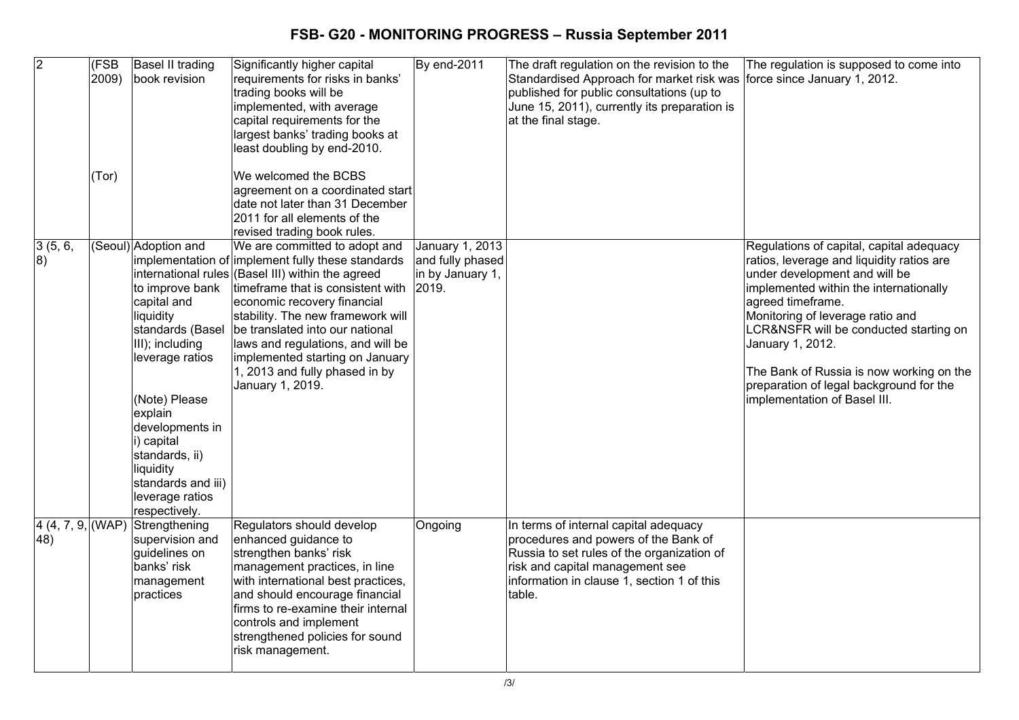| $\overline{2}$             | (FSB<br>2009)<br>(Tor) | Basel II trading<br>book revision                                                                                                                                                                                                                                                   | Significantly higher capital<br>requirements for risks in banks'<br>trading books will be<br>implemented, with average<br>capital requirements for the<br>largest banks' trading books at<br>least doubling by end-2010.<br>We welcomed the BCBS<br>agreement on a coordinated start<br>date not later than 31 December<br>2011 for all elements of the                                                                                                | By end-2011                                             | The draft regulation on the revision to the<br>Standardised Approach for market risk was<br>published for public consultations (up to<br>June 15, 2011), currently its preparation is<br>at the final stage.           | The regulation is supposed to come into<br>force since January 1, 2012.                                                                                                                                                                                                                                                                                                                                        |
|----------------------------|------------------------|-------------------------------------------------------------------------------------------------------------------------------------------------------------------------------------------------------------------------------------------------------------------------------------|--------------------------------------------------------------------------------------------------------------------------------------------------------------------------------------------------------------------------------------------------------------------------------------------------------------------------------------------------------------------------------------------------------------------------------------------------------|---------------------------------------------------------|------------------------------------------------------------------------------------------------------------------------------------------------------------------------------------------------------------------------|----------------------------------------------------------------------------------------------------------------------------------------------------------------------------------------------------------------------------------------------------------------------------------------------------------------------------------------------------------------------------------------------------------------|
| 3(5, 6,<br> 8)             |                        | (Seoul) Adoption and<br>to improve bank<br>capital and<br>liquidity<br>standards (Basel<br>III); including<br>leverage ratios<br>(Note) Please<br>explain<br>developments in<br>i) capital<br>standards, ii)<br>liquidity<br>standards and iii)<br>leverage ratios<br>respectively. | revised trading book rules.<br>We are committed to adopt and<br>implementation of implement fully these standards<br>international rules (Basel III) within the agreed<br>timeframe that is consistent with 2019.<br>economic recovery financial<br>stability. The new framework will<br>be translated into our national<br>laws and regulations, and will be<br>implemented starting on January<br>1, 2013 and fully phased in by<br>January 1, 2019. | January 1, 2013<br>and fully phased<br>in by January 1, |                                                                                                                                                                                                                        | Regulations of capital, capital adequacy<br>ratios, leverage and liquidity ratios are<br>under development and will be<br>implemented within the internationally<br>agreed timeframe.<br>Monitoring of leverage ratio and<br>LCR&NSFR will be conducted starting on<br>January 1, 2012.<br>The Bank of Russia is now working on the<br>preparation of legal background for the<br>implementation of Basel III. |
| 4(4, 7, 9,  (WAP))<br>(48) |                        | Strengthening<br>supervision and<br>guidelines on<br>banks' risk<br>management<br>practices                                                                                                                                                                                         | Regulators should develop<br>enhanced guidance to<br>strengthen banks' risk<br>management practices, in line<br>with international best practices,<br>and should encourage financial<br>firms to re-examine their internal<br>controls and implement<br>strengthened policies for sound<br>risk management.                                                                                                                                            | Ongoing                                                 | In terms of internal capital adequacy<br>procedures and powers of the Bank of<br>Russia to set rules of the organization of<br>risk and capital management see<br>information in clause 1, section 1 of this<br>table. |                                                                                                                                                                                                                                                                                                                                                                                                                |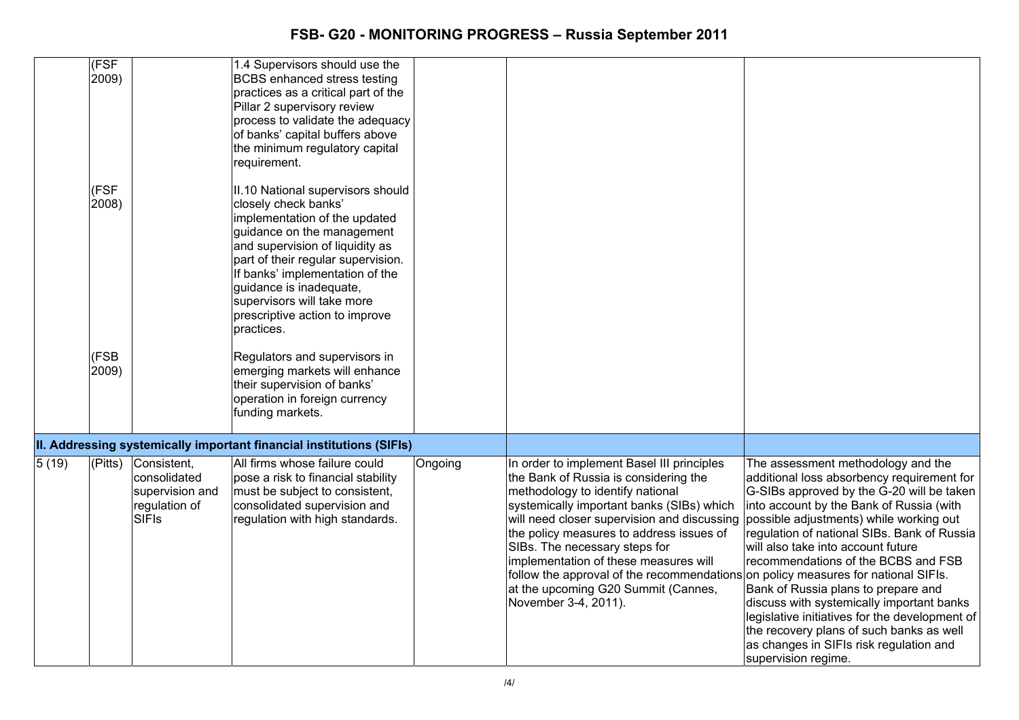|       | (FSF)         |                                                                                 | 1.4 Supervisors should use the                                                                                                                                                                                                                                                                                                                |         |                                                                                                                                                                                                                                                                                                                                                                                                                                                                                               |                                                                                                                                                                                                                                                                                                                                                                                                                                                                                                                                                                                                      |
|-------|---------------|---------------------------------------------------------------------------------|-----------------------------------------------------------------------------------------------------------------------------------------------------------------------------------------------------------------------------------------------------------------------------------------------------------------------------------------------|---------|-----------------------------------------------------------------------------------------------------------------------------------------------------------------------------------------------------------------------------------------------------------------------------------------------------------------------------------------------------------------------------------------------------------------------------------------------------------------------------------------------|------------------------------------------------------------------------------------------------------------------------------------------------------------------------------------------------------------------------------------------------------------------------------------------------------------------------------------------------------------------------------------------------------------------------------------------------------------------------------------------------------------------------------------------------------------------------------------------------------|
|       | 2009)         |                                                                                 | <b>BCBS</b> enhanced stress testing<br>practices as a critical part of the<br>Pillar 2 supervisory review<br>process to validate the adequacy<br>of banks' capital buffers above<br>the minimum regulatory capital<br>requirement.                                                                                                            |         |                                                                                                                                                                                                                                                                                                                                                                                                                                                                                               |                                                                                                                                                                                                                                                                                                                                                                                                                                                                                                                                                                                                      |
|       | (FSF<br>2008) |                                                                                 | II.10 National supervisors should<br>closely check banks'<br>implementation of the updated<br>guidance on the management<br>and supervision of liquidity as<br>part of their regular supervision.<br>If banks' implementation of the<br>guidance is inadequate,<br>supervisors will take more<br>prescriptive action to improve<br>practices. |         |                                                                                                                                                                                                                                                                                                                                                                                                                                                                                               |                                                                                                                                                                                                                                                                                                                                                                                                                                                                                                                                                                                                      |
|       | (FSB<br>2009) |                                                                                 | Regulators and supervisors in<br>emerging markets will enhance<br>their supervision of banks'<br>operation in foreign currency<br>funding markets.                                                                                                                                                                                            |         |                                                                                                                                                                                                                                                                                                                                                                                                                                                                                               |                                                                                                                                                                                                                                                                                                                                                                                                                                                                                                                                                                                                      |
|       |               |                                                                                 | II. Addressing systemically important financial institutions (SIFIs)                                                                                                                                                                                                                                                                          |         |                                                                                                                                                                                                                                                                                                                                                                                                                                                                                               |                                                                                                                                                                                                                                                                                                                                                                                                                                                                                                                                                                                                      |
| 5(19) | (Pitts)       | Consistent,<br>consolidated<br>supervision and<br>regulation of<br><b>SIFIS</b> | All firms whose failure could<br>pose a risk to financial stability<br>must be subject to consistent,<br>consolidated supervision and<br>regulation with high standards.                                                                                                                                                                      | Ongoing | In order to implement Basel III principles<br>the Bank of Russia is considering the<br>methodology to identify national<br>systemically important banks (SIBs) which<br>will need closer supervision and discussing<br>the policy measures to address issues of<br>SIBs. The necessary steps for<br>implementation of these measures will<br>follow the approval of the recommendations on policy measures for national SIFIs.<br>at the upcoming G20 Summit (Cannes,<br>November 3-4, 2011). | The assessment methodology and the<br>additional loss absorbency requirement for<br>G-SIBs approved by the G-20 will be taken<br>into account by the Bank of Russia (with<br>possible adjustments) while working out<br>regulation of national SIBs. Bank of Russia<br>will also take into account future<br>recommendations of the BCBS and FSB<br>Bank of Russia plans to prepare and<br>discuss with systemically important banks<br>legislative initiatives for the development of<br>the recovery plans of such banks as well<br>as changes in SIFIs risk regulation and<br>supervision regime. |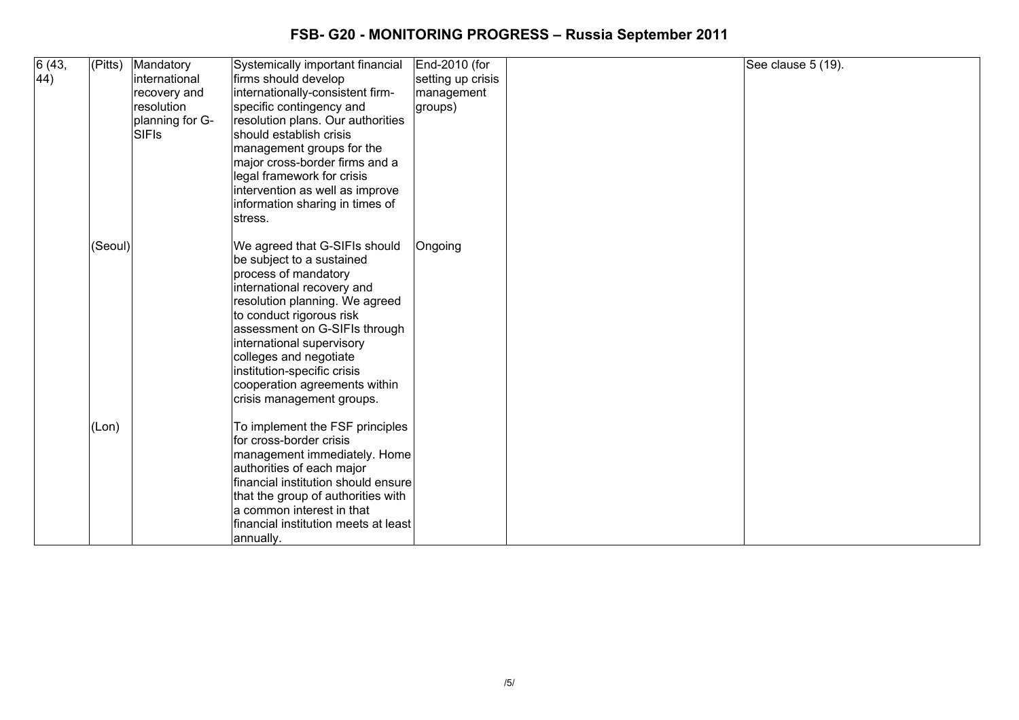| 6 (43,<br>44) | (Pitts) | Mandatory<br>international<br>recovery and<br>resolution<br>planning for G-<br><b>SIFIS</b> | Systemically important financial<br>firms should develop<br>internationally-consistent firm-<br>specific contingency and<br>resolution plans. Our authorities<br>İshould establish crisis<br>management groups for the<br>major cross-border firms and a                                                                                                            | End-2010 (for<br>setting up crisis<br>management<br>groups) | See clause 5 (19). |
|---------------|---------|---------------------------------------------------------------------------------------------|---------------------------------------------------------------------------------------------------------------------------------------------------------------------------------------------------------------------------------------------------------------------------------------------------------------------------------------------------------------------|-------------------------------------------------------------|--------------------|
|               |         |                                                                                             | legal framework for crisis<br>intervention as well as improve<br>information sharing in times of<br>stress.                                                                                                                                                                                                                                                         |                                                             |                    |
|               | (Seoul) |                                                                                             | We agreed that G-SIFIs should<br>be subject to a sustained<br>process of mandatory<br>international recovery and<br>resolution planning. We agreed<br>to conduct rigorous risk<br>assessment on G-SIFIs through<br>international supervisory<br>colleges and negotiate<br>institution-specific crisis<br>cooperation agreements within<br>crisis management groups. | Ongoing                                                     |                    |
|               | (Lon)   |                                                                                             | To implement the FSF principles<br>for cross-border crisis<br>management immediately. Home<br>authorities of each major<br>financial institution should ensure<br>that the group of authorities with<br>a common interest in that<br>financial institution meets at least<br>annually.                                                                              |                                                             |                    |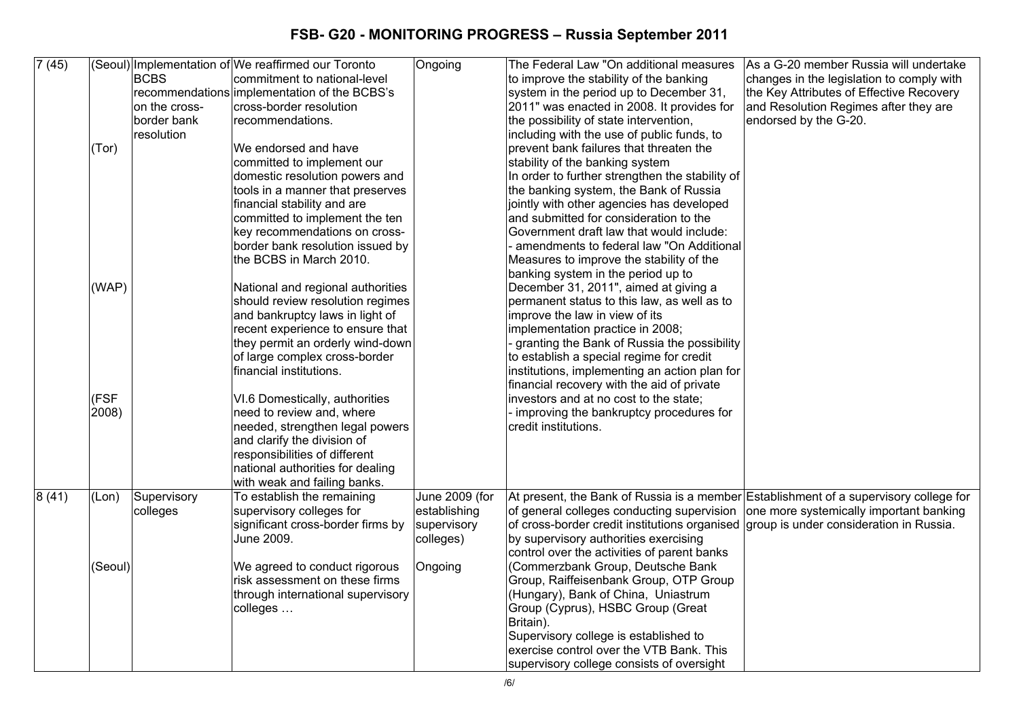| 7(45) |                                            |                         |                                                                                                                                                                                                                                                                                                                                                                                                                                                                                                                                                                                                                                                                                                                                                                                                                                                                                                                                                                                          |                                                                       |                                                                                                                                                                                                                                                                                                                                                                                                                                                                                                                                                                                                                                                                                                                                                                                                                                                                                                                                                                                                                                                                                                                                                                                                                                                                                                                                                                                                                                                                                                                                              | As a G-20 member Russia will undertake    |
|-------|--------------------------------------------|-------------------------|------------------------------------------------------------------------------------------------------------------------------------------------------------------------------------------------------------------------------------------------------------------------------------------------------------------------------------------------------------------------------------------------------------------------------------------------------------------------------------------------------------------------------------------------------------------------------------------------------------------------------------------------------------------------------------------------------------------------------------------------------------------------------------------------------------------------------------------------------------------------------------------------------------------------------------------------------------------------------------------|-----------------------------------------------------------------------|----------------------------------------------------------------------------------------------------------------------------------------------------------------------------------------------------------------------------------------------------------------------------------------------------------------------------------------------------------------------------------------------------------------------------------------------------------------------------------------------------------------------------------------------------------------------------------------------------------------------------------------------------------------------------------------------------------------------------------------------------------------------------------------------------------------------------------------------------------------------------------------------------------------------------------------------------------------------------------------------------------------------------------------------------------------------------------------------------------------------------------------------------------------------------------------------------------------------------------------------------------------------------------------------------------------------------------------------------------------------------------------------------------------------------------------------------------------------------------------------------------------------------------------------|-------------------------------------------|
|       |                                            | <b>BCBS</b>             | (Seoul) Implementation of We reaffirmed our Toronto<br>commitment to national-level                                                                                                                                                                                                                                                                                                                                                                                                                                                                                                                                                                                                                                                                                                                                                                                                                                                                                                      | Ongoing                                                               | The Federal Law "On additional measures<br>to improve the stability of the banking                                                                                                                                                                                                                                                                                                                                                                                                                                                                                                                                                                                                                                                                                                                                                                                                                                                                                                                                                                                                                                                                                                                                                                                                                                                                                                                                                                                                                                                           | changes in the legislation to comply with |
|       |                                            |                         | recommendations implementation of the BCBS's                                                                                                                                                                                                                                                                                                                                                                                                                                                                                                                                                                                                                                                                                                                                                                                                                                                                                                                                             |                                                                       | system in the period up to December 31,                                                                                                                                                                                                                                                                                                                                                                                                                                                                                                                                                                                                                                                                                                                                                                                                                                                                                                                                                                                                                                                                                                                                                                                                                                                                                                                                                                                                                                                                                                      | the Key Attributes of Effective Recovery  |
|       |                                            | on the cross-           | cross-border resolution                                                                                                                                                                                                                                                                                                                                                                                                                                                                                                                                                                                                                                                                                                                                                                                                                                                                                                                                                                  |                                                                       | 2011" was enacted in 2008. It provides for                                                                                                                                                                                                                                                                                                                                                                                                                                                                                                                                                                                                                                                                                                                                                                                                                                                                                                                                                                                                                                                                                                                                                                                                                                                                                                                                                                                                                                                                                                   | and Resolution Regimes after they are     |
|       |                                            | border bank             | recommendations.                                                                                                                                                                                                                                                                                                                                                                                                                                                                                                                                                                                                                                                                                                                                                                                                                                                                                                                                                                         |                                                                       | the possibility of state intervention,                                                                                                                                                                                                                                                                                                                                                                                                                                                                                                                                                                                                                                                                                                                                                                                                                                                                                                                                                                                                                                                                                                                                                                                                                                                                                                                                                                                                                                                                                                       | endorsed by the G-20.                     |
|       |                                            | resolution              |                                                                                                                                                                                                                                                                                                                                                                                                                                                                                                                                                                                                                                                                                                                                                                                                                                                                                                                                                                                          |                                                                       | including with the use of public funds, to                                                                                                                                                                                                                                                                                                                                                                                                                                                                                                                                                                                                                                                                                                                                                                                                                                                                                                                                                                                                                                                                                                                                                                                                                                                                                                                                                                                                                                                                                                   |                                           |
|       | (Tor)                                      |                         | We endorsed and have                                                                                                                                                                                                                                                                                                                                                                                                                                                                                                                                                                                                                                                                                                                                                                                                                                                                                                                                                                     |                                                                       | prevent bank failures that threaten the                                                                                                                                                                                                                                                                                                                                                                                                                                                                                                                                                                                                                                                                                                                                                                                                                                                                                                                                                                                                                                                                                                                                                                                                                                                                                                                                                                                                                                                                                                      |                                           |
|       |                                            |                         |                                                                                                                                                                                                                                                                                                                                                                                                                                                                                                                                                                                                                                                                                                                                                                                                                                                                                                                                                                                          |                                                                       |                                                                                                                                                                                                                                                                                                                                                                                                                                                                                                                                                                                                                                                                                                                                                                                                                                                                                                                                                                                                                                                                                                                                                                                                                                                                                                                                                                                                                                                                                                                                              |                                           |
|       |                                            |                         |                                                                                                                                                                                                                                                                                                                                                                                                                                                                                                                                                                                                                                                                                                                                                                                                                                                                                                                                                                                          |                                                                       |                                                                                                                                                                                                                                                                                                                                                                                                                                                                                                                                                                                                                                                                                                                                                                                                                                                                                                                                                                                                                                                                                                                                                                                                                                                                                                                                                                                                                                                                                                                                              |                                           |
|       |                                            |                         |                                                                                                                                                                                                                                                                                                                                                                                                                                                                                                                                                                                                                                                                                                                                                                                                                                                                                                                                                                                          |                                                                       |                                                                                                                                                                                                                                                                                                                                                                                                                                                                                                                                                                                                                                                                                                                                                                                                                                                                                                                                                                                                                                                                                                                                                                                                                                                                                                                                                                                                                                                                                                                                              |                                           |
|       |                                            |                         |                                                                                                                                                                                                                                                                                                                                                                                                                                                                                                                                                                                                                                                                                                                                                                                                                                                                                                                                                                                          |                                                                       |                                                                                                                                                                                                                                                                                                                                                                                                                                                                                                                                                                                                                                                                                                                                                                                                                                                                                                                                                                                                                                                                                                                                                                                                                                                                                                                                                                                                                                                                                                                                              |                                           |
|       |                                            |                         |                                                                                                                                                                                                                                                                                                                                                                                                                                                                                                                                                                                                                                                                                                                                                                                                                                                                                                                                                                                          |                                                                       |                                                                                                                                                                                                                                                                                                                                                                                                                                                                                                                                                                                                                                                                                                                                                                                                                                                                                                                                                                                                                                                                                                                                                                                                                                                                                                                                                                                                                                                                                                                                              |                                           |
|       |                                            |                         |                                                                                                                                                                                                                                                                                                                                                                                                                                                                                                                                                                                                                                                                                                                                                                                                                                                                                                                                                                                          |                                                                       |                                                                                                                                                                                                                                                                                                                                                                                                                                                                                                                                                                                                                                                                                                                                                                                                                                                                                                                                                                                                                                                                                                                                                                                                                                                                                                                                                                                                                                                                                                                                              |                                           |
|       |                                            |                         |                                                                                                                                                                                                                                                                                                                                                                                                                                                                                                                                                                                                                                                                                                                                                                                                                                                                                                                                                                                          |                                                                       |                                                                                                                                                                                                                                                                                                                                                                                                                                                                                                                                                                                                                                                                                                                                                                                                                                                                                                                                                                                                                                                                                                                                                                                                                                                                                                                                                                                                                                                                                                                                              |                                           |
|       |                                            |                         |                                                                                                                                                                                                                                                                                                                                                                                                                                                                                                                                                                                                                                                                                                                                                                                                                                                                                                                                                                                          |                                                                       |                                                                                                                                                                                                                                                                                                                                                                                                                                                                                                                                                                                                                                                                                                                                                                                                                                                                                                                                                                                                                                                                                                                                                                                                                                                                                                                                                                                                                                                                                                                                              |                                           |
|       |                                            |                         |                                                                                                                                                                                                                                                                                                                                                                                                                                                                                                                                                                                                                                                                                                                                                                                                                                                                                                                                                                                          |                                                                       |                                                                                                                                                                                                                                                                                                                                                                                                                                                                                                                                                                                                                                                                                                                                                                                                                                                                                                                                                                                                                                                                                                                                                                                                                                                                                                                                                                                                                                                                                                                                              |                                           |
|       |                                            |                         |                                                                                                                                                                                                                                                                                                                                                                                                                                                                                                                                                                                                                                                                                                                                                                                                                                                                                                                                                                                          |                                                                       |                                                                                                                                                                                                                                                                                                                                                                                                                                                                                                                                                                                                                                                                                                                                                                                                                                                                                                                                                                                                                                                                                                                                                                                                                                                                                                                                                                                                                                                                                                                                              |                                           |
|       |                                            |                         |                                                                                                                                                                                                                                                                                                                                                                                                                                                                                                                                                                                                                                                                                                                                                                                                                                                                                                                                                                                          |                                                                       |                                                                                                                                                                                                                                                                                                                                                                                                                                                                                                                                                                                                                                                                                                                                                                                                                                                                                                                                                                                                                                                                                                                                                                                                                                                                                                                                                                                                                                                                                                                                              |                                           |
|       |                                            |                         |                                                                                                                                                                                                                                                                                                                                                                                                                                                                                                                                                                                                                                                                                                                                                                                                                                                                                                                                                                                          |                                                                       |                                                                                                                                                                                                                                                                                                                                                                                                                                                                                                                                                                                                                                                                                                                                                                                                                                                                                                                                                                                                                                                                                                                                                                                                                                                                                                                                                                                                                                                                                                                                              |                                           |
|       |                                            |                         |                                                                                                                                                                                                                                                                                                                                                                                                                                                                                                                                                                                                                                                                                                                                                                                                                                                                                                                                                                                          |                                                                       |                                                                                                                                                                                                                                                                                                                                                                                                                                                                                                                                                                                                                                                                                                                                                                                                                                                                                                                                                                                                                                                                                                                                                                                                                                                                                                                                                                                                                                                                                                                                              |                                           |
|       |                                            |                         |                                                                                                                                                                                                                                                                                                                                                                                                                                                                                                                                                                                                                                                                                                                                                                                                                                                                                                                                                                                          |                                                                       |                                                                                                                                                                                                                                                                                                                                                                                                                                                                                                                                                                                                                                                                                                                                                                                                                                                                                                                                                                                                                                                                                                                                                                                                                                                                                                                                                                                                                                                                                                                                              |                                           |
|       |                                            |                         |                                                                                                                                                                                                                                                                                                                                                                                                                                                                                                                                                                                                                                                                                                                                                                                                                                                                                                                                                                                          |                                                                       |                                                                                                                                                                                                                                                                                                                                                                                                                                                                                                                                                                                                                                                                                                                                                                                                                                                                                                                                                                                                                                                                                                                                                                                                                                                                                                                                                                                                                                                                                                                                              |                                           |
|       |                                            |                         |                                                                                                                                                                                                                                                                                                                                                                                                                                                                                                                                                                                                                                                                                                                                                                                                                                                                                                                                                                                          |                                                                       |                                                                                                                                                                                                                                                                                                                                                                                                                                                                                                                                                                                                                                                                                                                                                                                                                                                                                                                                                                                                                                                                                                                                                                                                                                                                                                                                                                                                                                                                                                                                              |                                           |
|       |                                            |                         |                                                                                                                                                                                                                                                                                                                                                                                                                                                                                                                                                                                                                                                                                                                                                                                                                                                                                                                                                                                          |                                                                       |                                                                                                                                                                                                                                                                                                                                                                                                                                                                                                                                                                                                                                                                                                                                                                                                                                                                                                                                                                                                                                                                                                                                                                                                                                                                                                                                                                                                                                                                                                                                              |                                           |
|       |                                            |                         |                                                                                                                                                                                                                                                                                                                                                                                                                                                                                                                                                                                                                                                                                                                                                                                                                                                                                                                                                                                          |                                                                       |                                                                                                                                                                                                                                                                                                                                                                                                                                                                                                                                                                                                                                                                                                                                                                                                                                                                                                                                                                                                                                                                                                                                                                                                                                                                                                                                                                                                                                                                                                                                              |                                           |
|       |                                            |                         |                                                                                                                                                                                                                                                                                                                                                                                                                                                                                                                                                                                                                                                                                                                                                                                                                                                                                                                                                                                          |                                                                       |                                                                                                                                                                                                                                                                                                                                                                                                                                                                                                                                                                                                                                                                                                                                                                                                                                                                                                                                                                                                                                                                                                                                                                                                                                                                                                                                                                                                                                                                                                                                              |                                           |
|       |                                            |                         |                                                                                                                                                                                                                                                                                                                                                                                                                                                                                                                                                                                                                                                                                                                                                                                                                                                                                                                                                                                          |                                                                       |                                                                                                                                                                                                                                                                                                                                                                                                                                                                                                                                                                                                                                                                                                                                                                                                                                                                                                                                                                                                                                                                                                                                                                                                                                                                                                                                                                                                                                                                                                                                              |                                           |
|       |                                            |                         |                                                                                                                                                                                                                                                                                                                                                                                                                                                                                                                                                                                                                                                                                                                                                                                                                                                                                                                                                                                          |                                                                       |                                                                                                                                                                                                                                                                                                                                                                                                                                                                                                                                                                                                                                                                                                                                                                                                                                                                                                                                                                                                                                                                                                                                                                                                                                                                                                                                                                                                                                                                                                                                              |                                           |
|       |                                            |                         |                                                                                                                                                                                                                                                                                                                                                                                                                                                                                                                                                                                                                                                                                                                                                                                                                                                                                                                                                                                          |                                                                       |                                                                                                                                                                                                                                                                                                                                                                                                                                                                                                                                                                                                                                                                                                                                                                                                                                                                                                                                                                                                                                                                                                                                                                                                                                                                                                                                                                                                                                                                                                                                              |                                           |
|       |                                            |                         |                                                                                                                                                                                                                                                                                                                                                                                                                                                                                                                                                                                                                                                                                                                                                                                                                                                                                                                                                                                          |                                                                       |                                                                                                                                                                                                                                                                                                                                                                                                                                                                                                                                                                                                                                                                                                                                                                                                                                                                                                                                                                                                                                                                                                                                                                                                                                                                                                                                                                                                                                                                                                                                              |                                           |
|       |                                            |                         |                                                                                                                                                                                                                                                                                                                                                                                                                                                                                                                                                                                                                                                                                                                                                                                                                                                                                                                                                                                          |                                                                       |                                                                                                                                                                                                                                                                                                                                                                                                                                                                                                                                                                                                                                                                                                                                                                                                                                                                                                                                                                                                                                                                                                                                                                                                                                                                                                                                                                                                                                                                                                                                              |                                           |
|       |                                            |                         |                                                                                                                                                                                                                                                                                                                                                                                                                                                                                                                                                                                                                                                                                                                                                                                                                                                                                                                                                                                          |                                                                       |                                                                                                                                                                                                                                                                                                                                                                                                                                                                                                                                                                                                                                                                                                                                                                                                                                                                                                                                                                                                                                                                                                                                                                                                                                                                                                                                                                                                                                                                                                                                              |                                           |
|       |                                            |                         |                                                                                                                                                                                                                                                                                                                                                                                                                                                                                                                                                                                                                                                                                                                                                                                                                                                                                                                                                                                          |                                                                       |                                                                                                                                                                                                                                                                                                                                                                                                                                                                                                                                                                                                                                                                                                                                                                                                                                                                                                                                                                                                                                                                                                                                                                                                                                                                                                                                                                                                                                                                                                                                              |                                           |
|       |                                            |                         |                                                                                                                                                                                                                                                                                                                                                                                                                                                                                                                                                                                                                                                                                                                                                                                                                                                                                                                                                                                          |                                                                       |                                                                                                                                                                                                                                                                                                                                                                                                                                                                                                                                                                                                                                                                                                                                                                                                                                                                                                                                                                                                                                                                                                                                                                                                                                                                                                                                                                                                                                                                                                                                              |                                           |
|       |                                            |                         |                                                                                                                                                                                                                                                                                                                                                                                                                                                                                                                                                                                                                                                                                                                                                                                                                                                                                                                                                                                          |                                                                       |                                                                                                                                                                                                                                                                                                                                                                                                                                                                                                                                                                                                                                                                                                                                                                                                                                                                                                                                                                                                                                                                                                                                                                                                                                                                                                                                                                                                                                                                                                                                              |                                           |
|       |                                            |                         |                                                                                                                                                                                                                                                                                                                                                                                                                                                                                                                                                                                                                                                                                                                                                                                                                                                                                                                                                                                          |                                                                       |                                                                                                                                                                                                                                                                                                                                                                                                                                                                                                                                                                                                                                                                                                                                                                                                                                                                                                                                                                                                                                                                                                                                                                                                                                                                                                                                                                                                                                                                                                                                              |                                           |
|       |                                            |                         |                                                                                                                                                                                                                                                                                                                                                                                                                                                                                                                                                                                                                                                                                                                                                                                                                                                                                                                                                                                          |                                                                       |                                                                                                                                                                                                                                                                                                                                                                                                                                                                                                                                                                                                                                                                                                                                                                                                                                                                                                                                                                                                                                                                                                                                                                                                                                                                                                                                                                                                                                                                                                                                              |                                           |
|       |                                            |                         |                                                                                                                                                                                                                                                                                                                                                                                                                                                                                                                                                                                                                                                                                                                                                                                                                                                                                                                                                                                          |                                                                       |                                                                                                                                                                                                                                                                                                                                                                                                                                                                                                                                                                                                                                                                                                                                                                                                                                                                                                                                                                                                                                                                                                                                                                                                                                                                                                                                                                                                                                                                                                                                              |                                           |
|       |                                            |                         |                                                                                                                                                                                                                                                                                                                                                                                                                                                                                                                                                                                                                                                                                                                                                                                                                                                                                                                                                                                          |                                                                       |                                                                                                                                                                                                                                                                                                                                                                                                                                                                                                                                                                                                                                                                                                                                                                                                                                                                                                                                                                                                                                                                                                                                                                                                                                                                                                                                                                                                                                                                                                                                              |                                           |
|       |                                            |                         |                                                                                                                                                                                                                                                                                                                                                                                                                                                                                                                                                                                                                                                                                                                                                                                                                                                                                                                                                                                          |                                                                       |                                                                                                                                                                                                                                                                                                                                                                                                                                                                                                                                                                                                                                                                                                                                                                                                                                                                                                                                                                                                                                                                                                                                                                                                                                                                                                                                                                                                                                                                                                                                              |                                           |
|       |                                            |                         |                                                                                                                                                                                                                                                                                                                                                                                                                                                                                                                                                                                                                                                                                                                                                                                                                                                                                                                                                                                          |                                                                       |                                                                                                                                                                                                                                                                                                                                                                                                                                                                                                                                                                                                                                                                                                                                                                                                                                                                                                                                                                                                                                                                                                                                                                                                                                                                                                                                                                                                                                                                                                                                              |                                           |
|       |                                            |                         |                                                                                                                                                                                                                                                                                                                                                                                                                                                                                                                                                                                                                                                                                                                                                                                                                                                                                                                                                                                          |                                                                       |                                                                                                                                                                                                                                                                                                                                                                                                                                                                                                                                                                                                                                                                                                                                                                                                                                                                                                                                                                                                                                                                                                                                                                                                                                                                                                                                                                                                                                                                                                                                              |                                           |
|       |                                            |                         |                                                                                                                                                                                                                                                                                                                                                                                                                                                                                                                                                                                                                                                                                                                                                                                                                                                                                                                                                                                          |                                                                       |                                                                                                                                                                                                                                                                                                                                                                                                                                                                                                                                                                                                                                                                                                                                                                                                                                                                                                                                                                                                                                                                                                                                                                                                                                                                                                                                                                                                                                                                                                                                              |                                           |
|       |                                            |                         |                                                                                                                                                                                                                                                                                                                                                                                                                                                                                                                                                                                                                                                                                                                                                                                                                                                                                                                                                                                          |                                                                       |                                                                                                                                                                                                                                                                                                                                                                                                                                                                                                                                                                                                                                                                                                                                                                                                                                                                                                                                                                                                                                                                                                                                                                                                                                                                                                                                                                                                                                                                                                                                              |                                           |
| 8(41) | (WAP)<br>(FSF<br>2008)<br>(Lon)<br>(Seoul) | Supervisory<br>colleges | committed to implement our<br>domestic resolution powers and<br>tools in a manner that preserves<br>financial stability and are<br>committed to implement the ten<br>key recommendations on cross-<br>border bank resolution issued by<br>the BCBS in March 2010.<br>National and regional authorities<br>should review resolution regimes<br>and bankruptcy laws in light of<br>recent experience to ensure that<br>they permit an orderly wind-down<br>of large complex cross-border<br>financial institutions.<br>VI.6 Domestically, authorities<br>need to review and, where<br>needed, strengthen legal powers<br>and clarify the division of<br>responsibilities of different<br>national authorities for dealing<br>with weak and failing banks.<br>To establish the remaining<br>supervisory colleges for<br>significant cross-border firms by<br>June 2009.<br>We agreed to conduct rigorous<br>risk assessment on these firms<br>through international supervisory<br>colleges | June 2009 (for<br>establishing<br>supervisory<br>colleges)<br>Ongoing | stability of the banking system<br>In order to further strengthen the stability of<br>the banking system, the Bank of Russia<br>jointly with other agencies has developed<br>and submitted for consideration to the<br>Government draft law that would include:<br>amendments to federal law "On Additional<br>Measures to improve the stability of the<br>banking system in the period up to<br>December 31, 2011", aimed at giving a<br>permanent status to this law, as well as to<br>improve the law in view of its<br>implementation practice in 2008;<br>granting the Bank of Russia the possibility<br>to establish a special regime for credit<br>institutions, implementing an action plan for<br>financial recovery with the aid of private<br>investors and at no cost to the state;<br>improving the bankruptcy procedures for<br>credit institutions.<br>At present, the Bank of Russia is a member Establishment of a supervisory college for<br>of general colleges conducting supervision one more systemically important banking<br>of cross-border credit institutions organised group is under consideration in Russia.<br>by supervisory authorities exercising<br>control over the activities of parent banks<br>(Commerzbank Group, Deutsche Bank<br>Group, Raiffeisenbank Group, OTP Group<br>(Hungary), Bank of China, Uniastrum<br>Group (Cyprus), HSBC Group (Great<br>Britain).<br>Supervisory college is established to<br>exercise control over the VTB Bank. This<br>supervisory college consists of oversight |                                           |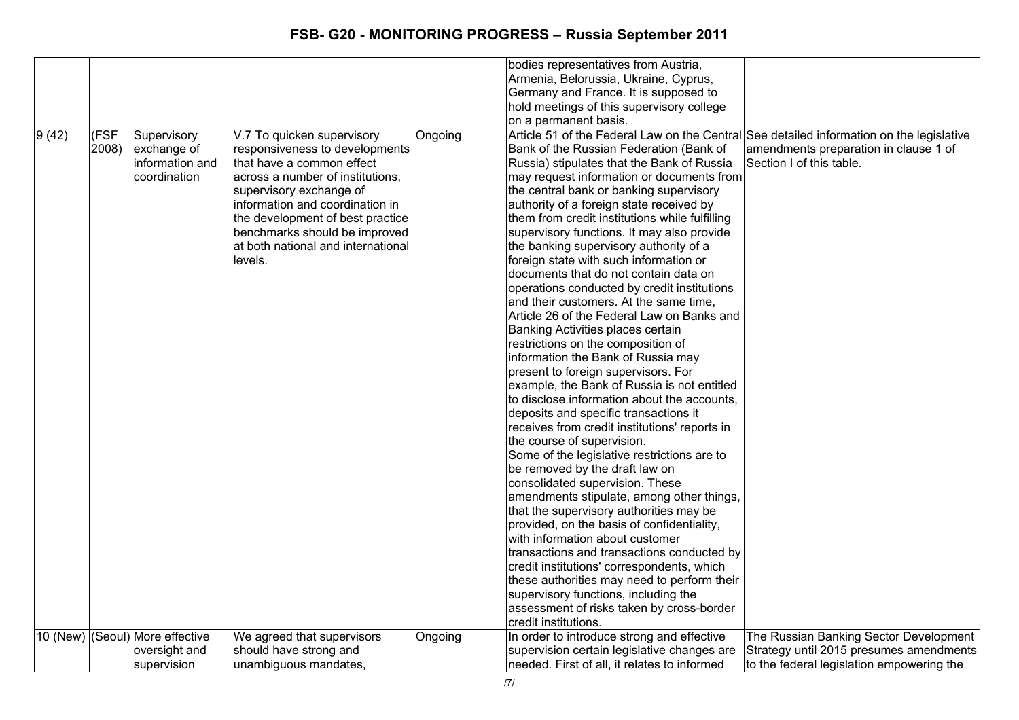|       |               |                                                                 |                                                                                                                                                                                                                                                                                                                   |         | bodies representatives from Austria,<br>Armenia, Belorussia, Ukraine, Cyprus,<br>Germany and France. It is supposed to<br>hold meetings of this supervisory college                                                                                                                                                                                                                                                                                                                                                                                                                                                                                                                                                                                                                                                                                                                                                                                                                                                                                                                                                                                                                                                                                                                                                                                                                                                                                                                                                                                                              |                                                                                                                                |
|-------|---------------|-----------------------------------------------------------------|-------------------------------------------------------------------------------------------------------------------------------------------------------------------------------------------------------------------------------------------------------------------------------------------------------------------|---------|----------------------------------------------------------------------------------------------------------------------------------------------------------------------------------------------------------------------------------------------------------------------------------------------------------------------------------------------------------------------------------------------------------------------------------------------------------------------------------------------------------------------------------------------------------------------------------------------------------------------------------------------------------------------------------------------------------------------------------------------------------------------------------------------------------------------------------------------------------------------------------------------------------------------------------------------------------------------------------------------------------------------------------------------------------------------------------------------------------------------------------------------------------------------------------------------------------------------------------------------------------------------------------------------------------------------------------------------------------------------------------------------------------------------------------------------------------------------------------------------------------------------------------------------------------------------------------|--------------------------------------------------------------------------------------------------------------------------------|
| 9(42) | (FSF<br>2008) | Supervisory<br>exchange of<br>information and<br>coordination   | V.7 To quicken supervisory<br>responsiveness to developments<br>that have a common effect<br>across a number of institutions,<br>supervisory exchange of<br>information and coordination in<br>the development of best practice<br>benchmarks should be improved<br>at both national and international<br>levels. | Ongoing | on a permanent basis.<br>Article 51 of the Federal Law on the Central See detailed information on the legislative<br>Bank of the Russian Federation (Bank of<br>Russia) stipulates that the Bank of Russia<br>may request information or documents from<br>the central bank or banking supervisory<br>authority of a foreign state received by<br>them from credit institutions while fulfilling<br>supervisory functions. It may also provide<br>the banking supervisory authority of a<br>foreign state with such information or<br>documents that do not contain data on<br>operations conducted by credit institutions<br>and their customers. At the same time,<br>Article 26 of the Federal Law on Banks and<br>Banking Activities places certain<br>restrictions on the composition of<br>information the Bank of Russia may<br>present to foreign supervisors. For<br>example, the Bank of Russia is not entitled<br>to disclose information about the accounts,<br>deposits and specific transactions it<br>receives from credit institutions' reports in<br>the course of supervision.<br>Some of the legislative restrictions are to<br>be removed by the draft law on<br>consolidated supervision. These<br>amendments stipulate, among other things,<br>that the supervisory authorities may be<br>provided, on the basis of confidentiality,<br>with information about customer<br>transactions and transactions conducted by<br>credit institutions' correspondents, which<br>these authorities may need to perform their<br>supervisory functions, including the | amendments preparation in clause 1 of<br>Section I of this table.                                                              |
|       |               | 10 (New) (Seoul) More effective<br>oversight and<br>supervision | We agreed that supervisors<br>should have strong and<br>unambiguous mandates,                                                                                                                                                                                                                                     | Ongoing | assessment of risks taken by cross-border<br>credit institutions.<br>In order to introduce strong and effective<br>supervision certain legislative changes are<br>needed. First of all, it relates to informed                                                                                                                                                                                                                                                                                                                                                                                                                                                                                                                                                                                                                                                                                                                                                                                                                                                                                                                                                                                                                                                                                                                                                                                                                                                                                                                                                                   | The Russian Banking Sector Development<br>Strategy until 2015 presumes amendments<br>to the federal legislation empowering the |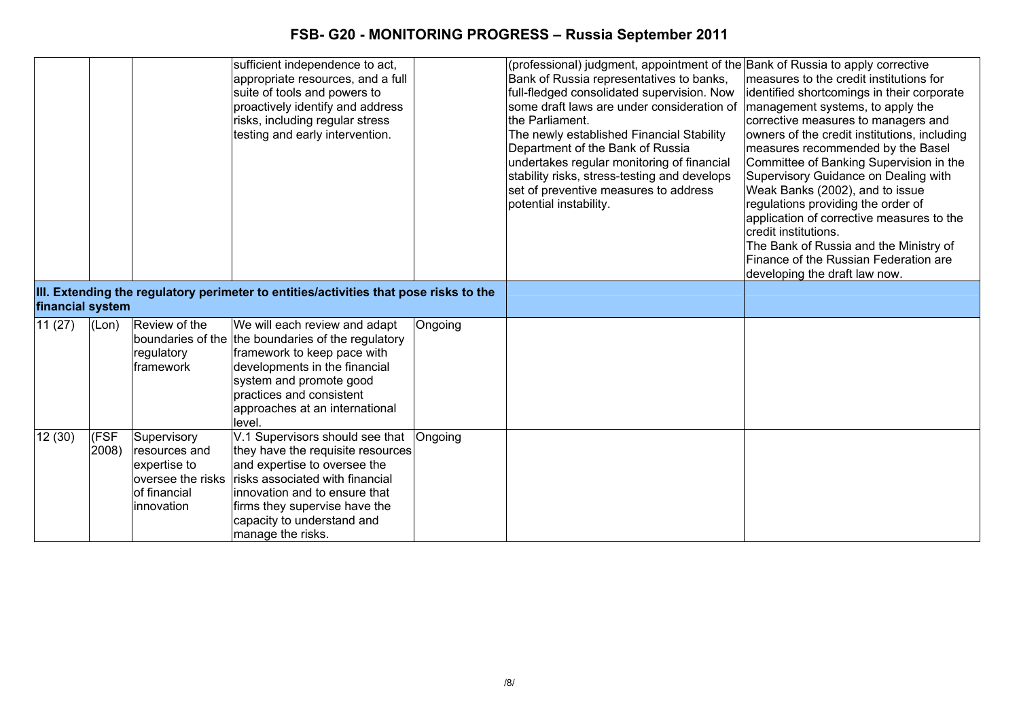|                  |               |                                                                                                 | sufficient independence to act,<br>appropriate resources, and a full<br>suite of tools and powers to<br>proactively identify and address<br>risks, including regular stress<br>testing and early intervention.                                               |         | (professional) judgment, appointment of the Bank of Russia to apply corrective<br>Bank of Russia representatives to banks,<br>full-fledged consolidated supervision. Now<br>some draft laws are under consideration of<br>the Parliament.<br>The newly established Financial Stability<br>Department of the Bank of Russia<br>undertakes regular monitoring of financial<br>stability risks, stress-testing and develops<br>set of preventive measures to address<br>potential instability. | measures to the credit institutions for<br>identified shortcomings in their corporate<br>management systems, to apply the<br>corrective measures to managers and<br>owners of the credit institutions, including<br>measures recommended by the Basel<br>Committee of Banking Supervision in the<br>Supervisory Guidance on Dealing with<br>Weak Banks (2002), and to issue<br>regulations providing the order of<br>application of corrective measures to the<br>credit institutions.<br>The Bank of Russia and the Ministry of<br>Finance of the Russian Federation are<br>developing the draft law now. |
|------------------|---------------|-------------------------------------------------------------------------------------------------|--------------------------------------------------------------------------------------------------------------------------------------------------------------------------------------------------------------------------------------------------------------|---------|---------------------------------------------------------------------------------------------------------------------------------------------------------------------------------------------------------------------------------------------------------------------------------------------------------------------------------------------------------------------------------------------------------------------------------------------------------------------------------------------|------------------------------------------------------------------------------------------------------------------------------------------------------------------------------------------------------------------------------------------------------------------------------------------------------------------------------------------------------------------------------------------------------------------------------------------------------------------------------------------------------------------------------------------------------------------------------------------------------------|
| financial system |               |                                                                                                 | III. Extending the regulatory perimeter to entities/activities that pose risks to the                                                                                                                                                                        |         |                                                                                                                                                                                                                                                                                                                                                                                                                                                                                             |                                                                                                                                                                                                                                                                                                                                                                                                                                                                                                                                                                                                            |
| 11(27)           | (Lon)         | Review of the<br>boundaries of the<br>regulatory<br>framework                                   | We will each review and adapt<br>the boundaries of the regulatory<br>framework to keep pace with<br>developments in the financial<br>system and promote good<br>practices and consistent<br>approaches at an international<br>level.                         | Ongoing |                                                                                                                                                                                                                                                                                                                                                                                                                                                                                             |                                                                                                                                                                                                                                                                                                                                                                                                                                                                                                                                                                                                            |
| 12(30)           | (FSF<br>2008) | Supervisory<br>resources and<br>expertise to<br>oversee the risks<br>of financial<br>innovation | V.1 Supervisors should see that<br>they have the requisite resources<br>and expertise to oversee the<br>risks associated with financial<br>innovation and to ensure that<br>firms they supervise have the<br>capacity to understand and<br>manage the risks. | Ongoing |                                                                                                                                                                                                                                                                                                                                                                                                                                                                                             |                                                                                                                                                                                                                                                                                                                                                                                                                                                                                                                                                                                                            |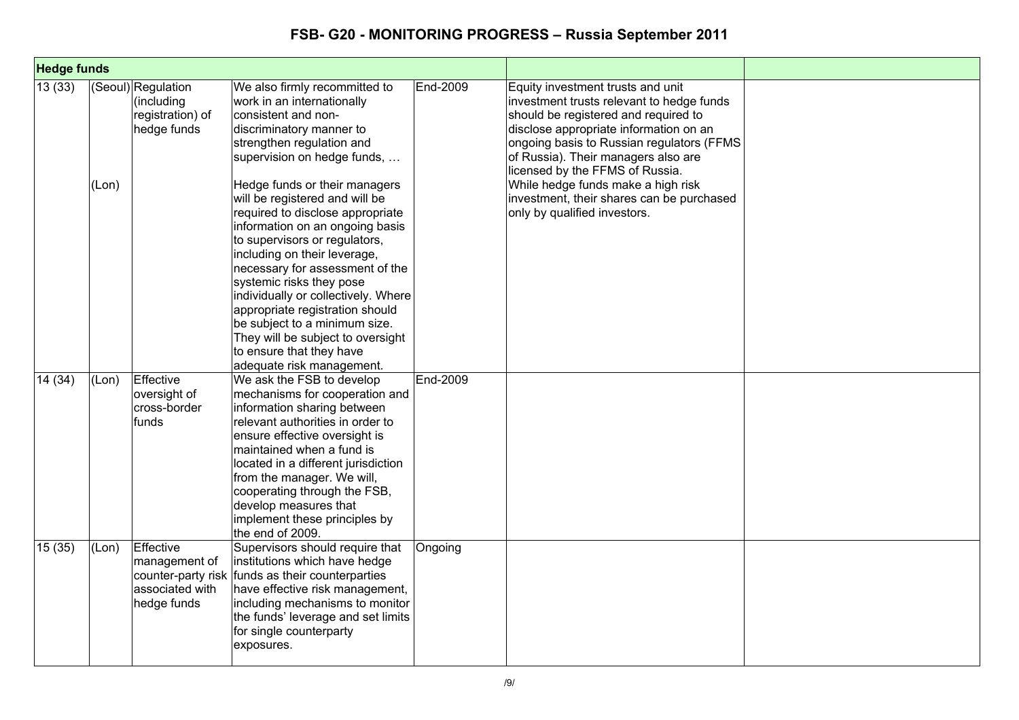| <b>Hedge funds</b> |       |                                                                                    |                                                                                                                                                                                                                                                                                                                                                                                                                                                                                                                                                                                                                                                               |          |                                                                                                                                                                                                                                                                                                                                                                                                            |  |
|--------------------|-------|------------------------------------------------------------------------------------|---------------------------------------------------------------------------------------------------------------------------------------------------------------------------------------------------------------------------------------------------------------------------------------------------------------------------------------------------------------------------------------------------------------------------------------------------------------------------------------------------------------------------------------------------------------------------------------------------------------------------------------------------------------|----------|------------------------------------------------------------------------------------------------------------------------------------------------------------------------------------------------------------------------------------------------------------------------------------------------------------------------------------------------------------------------------------------------------------|--|
| 13(33)             | (Lon) | (Seoul) Regulation<br>(including<br>registration) of<br>hedge funds                | We also firmly recommitted to<br>work in an internationally<br>consistent and non-<br>discriminatory manner to<br>strengthen regulation and<br>supervision on hedge funds,<br>Hedge funds or their managers<br>will be registered and will be<br>required to disclose appropriate<br>information on an ongoing basis<br>to supervisors or regulators,<br>including on their leverage,<br>necessary for assessment of the<br>systemic risks they pose<br>individually or collectively. Where<br>appropriate registration should<br>be subject to a minimum size.<br>They will be subject to oversight<br>to ensure that they have<br>adequate risk management. | End-2009 | Equity investment trusts and unit<br>investment trusts relevant to hedge funds<br>should be registered and required to<br>disclose appropriate information on an<br>ongoing basis to Russian regulators (FFMS<br>of Russia). Their managers also are<br>licensed by the FFMS of Russia.<br>While hedge funds make a high risk<br>investment, their shares can be purchased<br>only by qualified investors. |  |
| 14 (34)            | (Lon) | Effective<br>oversight of<br>cross-border<br>funds                                 | We ask the FSB to develop<br>mechanisms for cooperation and<br>information sharing between<br>relevant authorities in order to<br>ensure effective oversight is<br>maintained when a fund is<br>located in a different jurisdiction<br>from the manager. We will,<br>cooperating through the FSB,<br>develop measures that<br>implement these principles by<br>the end of 2009.                                                                                                                                                                                                                                                                               | End-2009 |                                                                                                                                                                                                                                                                                                                                                                                                            |  |
| 15(35)             | (Lon) | Effective<br>management of<br>counter-party risk<br>associated with<br>hedge funds | Supervisors should require that<br>institutions which have hedge<br>funds as their counterparties<br>have effective risk management,<br>including mechanisms to monitor<br>the funds' leverage and set limits<br>for single counterparty<br>exposures.                                                                                                                                                                                                                                                                                                                                                                                                        | Ongoing  |                                                                                                                                                                                                                                                                                                                                                                                                            |  |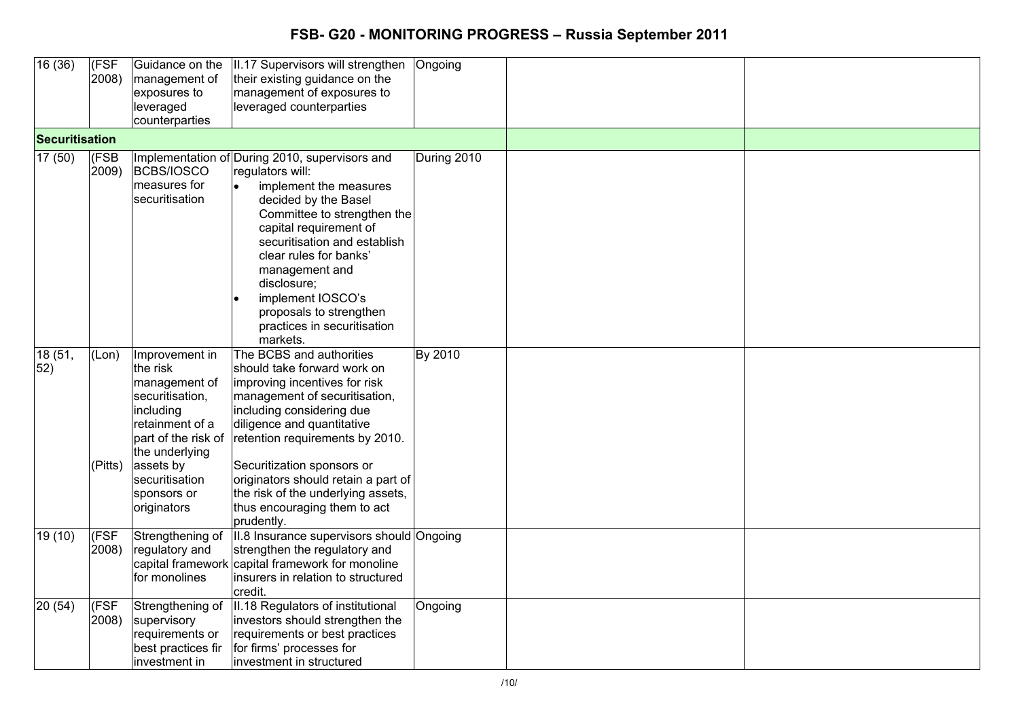| 16(36)           | $\overline{\text{(FSF}}$ | Guidance on the     | II.17 Supervisors will strengthen                | Ongoing     |  |
|------------------|--------------------------|---------------------|--------------------------------------------------|-------------|--|
|                  | 2008)                    | management of       | their existing guidance on the                   |             |  |
|                  |                          | exposures to        | management of exposures to                       |             |  |
|                  |                          | leveraged           | leveraged counterparties                         |             |  |
|                  |                          | counterparties      |                                                  |             |  |
| Securitisation   |                          |                     |                                                  |             |  |
| 17(50)           | (FSB                     |                     | Implementation of During 2010, supervisors and   | During 2010 |  |
|                  | 2009)                    | <b>BCBS/IOSCO</b>   | regulators will:                                 |             |  |
|                  |                          | measures for        | implement the measures<br>$\bullet$              |             |  |
|                  |                          | securitisation      | decided by the Basel                             |             |  |
|                  |                          |                     | Committee to strengthen the                      |             |  |
|                  |                          |                     | capital requirement of                           |             |  |
|                  |                          |                     | securitisation and establish                     |             |  |
|                  |                          |                     |                                                  |             |  |
|                  |                          |                     | clear rules for banks'                           |             |  |
|                  |                          |                     | management and                                   |             |  |
|                  |                          |                     | disclosure;                                      |             |  |
|                  |                          |                     | implement IOSCO's                                |             |  |
|                  |                          |                     | proposals to strengthen                          |             |  |
|                  |                          |                     | practices in securitisation                      |             |  |
|                  |                          |                     | markets.                                         |             |  |
| 18 (51,          | (Lon)                    | Improvement in      | The BCBS and authorities                         | By 2010     |  |
| 52)              |                          | the risk            | should take forward work on                      |             |  |
|                  |                          | management of       | improving incentives for risk                    |             |  |
|                  |                          | securitisation,     | management of securitisation,                    |             |  |
|                  |                          | including           | including considering due                        |             |  |
|                  |                          | retainment of a     | diligence and quantitative                       |             |  |
|                  |                          | part of the risk of | retention requirements by 2010.                  |             |  |
|                  |                          | the underlying      |                                                  |             |  |
|                  | (Pitts)                  | assets by           | Securitization sponsors or                       |             |  |
|                  |                          | securitisation      | originators should retain a part of              |             |  |
|                  |                          | sponsors or         | the risk of the underlying assets,               |             |  |
|                  |                          | originators         | thus encouraging them to act                     |             |  |
|                  |                          |                     | prudently.                                       |             |  |
| 19(10)           | (FSF                     | Strengthening of    | II.8 Insurance supervisors should Ongoing        |             |  |
|                  | 2008)                    | regulatory and      | strengthen the regulatory and                    |             |  |
|                  |                          |                     | capital framework capital framework for monoline |             |  |
|                  |                          | for monolines       | insurers in relation to structured               |             |  |
|                  |                          |                     | credit.                                          |             |  |
| $\sqrt{20}$ (54) | (FSF)                    | Strengthening of    | II.18 Regulators of institutional                | Ongoing     |  |
|                  | 2008)                    | supervisory         | investors should strengthen the                  |             |  |
|                  |                          | requirements or     | requirements or best practices                   |             |  |
|                  |                          | best practices fir  | for firms' processes for                         |             |  |
|                  |                          | investment in       | investment in structured                         |             |  |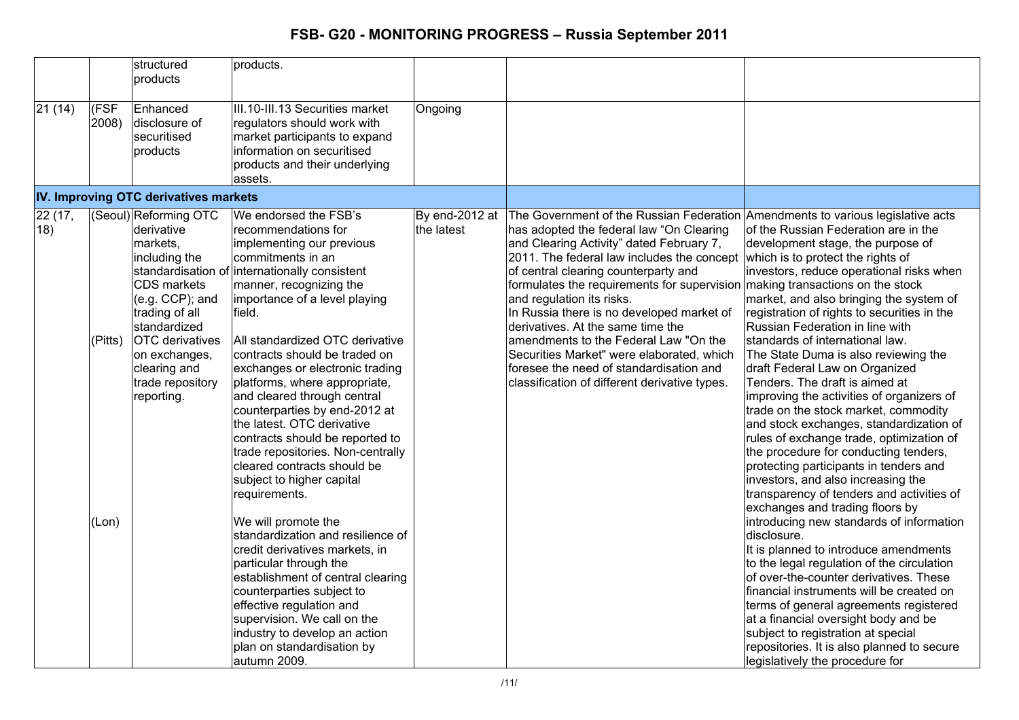| 21 (14)<br>(FSF<br>Enhanced<br>III.10-III.13 Securities market<br>Ongoing<br>disclosure of<br>2008)<br>regulators should work with<br>securitised<br>market participants to expand<br>information on securitised<br>products<br>products and their underlying                                                                                                                                                                                                                                                                                                                                                                                                                                                                                                                                                                                                                                                                                                                                                                                                                                                                                                                                                                                                                                                                                                                                                                                                                                                                                                                                                                                                                                                                                                                                                                                                                                                                                                                                                                                                                                                                                                                                                                                                                                                                                                                                                                                                                                                                                                                                                                                                                                                                                                                                                                                                                                                                                                                                                                                                                                                                                                                                       |  |
|-----------------------------------------------------------------------------------------------------------------------------------------------------------------------------------------------------------------------------------------------------------------------------------------------------------------------------------------------------------------------------------------------------------------------------------------------------------------------------------------------------------------------------------------------------------------------------------------------------------------------------------------------------------------------------------------------------------------------------------------------------------------------------------------------------------------------------------------------------------------------------------------------------------------------------------------------------------------------------------------------------------------------------------------------------------------------------------------------------------------------------------------------------------------------------------------------------------------------------------------------------------------------------------------------------------------------------------------------------------------------------------------------------------------------------------------------------------------------------------------------------------------------------------------------------------------------------------------------------------------------------------------------------------------------------------------------------------------------------------------------------------------------------------------------------------------------------------------------------------------------------------------------------------------------------------------------------------------------------------------------------------------------------------------------------------------------------------------------------------------------------------------------------------------------------------------------------------------------------------------------------------------------------------------------------------------------------------------------------------------------------------------------------------------------------------------------------------------------------------------------------------------------------------------------------------------------------------------------------------------------------------------------------------------------------------------------------------------------------------------------------------------------------------------------------------------------------------------------------------------------------------------------------------------------------------------------------------------------------------------------------------------------------------------------------------------------------------------------------------------------------------------------------------------------------------------------------|--|
| assets.                                                                                                                                                                                                                                                                                                                                                                                                                                                                                                                                                                                                                                                                                                                                                                                                                                                                                                                                                                                                                                                                                                                                                                                                                                                                                                                                                                                                                                                                                                                                                                                                                                                                                                                                                                                                                                                                                                                                                                                                                                                                                                                                                                                                                                                                                                                                                                                                                                                                                                                                                                                                                                                                                                                                                                                                                                                                                                                                                                                                                                                                                                                                                                                             |  |
| IV. Improving OTC derivatives markets                                                                                                                                                                                                                                                                                                                                                                                                                                                                                                                                                                                                                                                                                                                                                                                                                                                                                                                                                                                                                                                                                                                                                                                                                                                                                                                                                                                                                                                                                                                                                                                                                                                                                                                                                                                                                                                                                                                                                                                                                                                                                                                                                                                                                                                                                                                                                                                                                                                                                                                                                                                                                                                                                                                                                                                                                                                                                                                                                                                                                                                                                                                                                               |  |
| 22(17,<br>(Seoul) Reforming OTC<br>We endorsed the FSB's<br>By end-2012 at<br>The Government of the Russian Federation Amendments to various legislative acts<br>18)<br>the latest<br>derivative<br>recommendations for<br>has adopted the federal law "On Clearing<br>of the Russian Federation are in the<br>markets,<br>implementing our previous<br>and Clearing Activity" dated February 7,<br>development stage, the purpose of<br>commitments in an<br>2011. The federal law includes the concept<br>including the<br>which is to protect the rights of<br>standardisation of internationally consistent<br>of central clearing counterparty and<br>investors, reduce operational risks when<br>CDS markets<br>formulates the requirements for supervision making transactions on the stock<br>manner, recognizing the<br>$(e.g. CCP)$ ; and<br>importance of a level playing<br>and regulation its risks.<br>market, and also bringing the system of<br>In Russia there is no developed market of<br>trading of all<br>field.<br>registration of rights to securities in the<br>standardized<br>derivatives. At the same time the<br>Russian Federation in line with<br><b>OTC</b> derivatives<br>(Pitts)<br>All standardized OTC derivative<br>amendments to the Federal Law "On the<br>standards of international law.<br>on exchanges,<br>contracts should be traded on<br>Securities Market" were elaborated, which<br>The State Duma is also reviewing the<br>exchanges or electronic trading<br>foresee the need of standardisation and<br>draft Federal Law on Organized<br>clearing and<br>trade repository<br>Tenders. The draft is aimed at<br>platforms, where appropriate,<br>classification of different derivative types.<br>reporting.<br>and cleared through central<br>improving the activities of organizers of<br>counterparties by end-2012 at<br>trade on the stock market, commodity<br>the latest. OTC derivative<br>and stock exchanges, standardization of<br>contracts should be reported to<br>rules of exchange trade, optimization of<br>trade repositories. Non-centrally<br>the procedure for conducting tenders,<br>protecting participants in tenders and<br>cleared contracts should be<br>investors, and also increasing the<br>subject to higher capital<br>transparency of tenders and activities of<br>requirements.<br>exchanges and trading floors by<br>We will promote the<br>introducing new standards of information<br>(Lon)<br>disclosure.<br>standardization and resilience of<br>It is planned to introduce amendments<br>credit derivatives markets, in<br>to the legal regulation of the circulation<br>particular through the<br>establishment of central clearing<br>of over-the-counter derivatives. These<br>counterparties subject to<br>financial instruments will be created on<br>effective regulation and<br>terms of general agreements registered<br>supervision. We call on the<br>at a financial oversight body and be<br>industry to develop an action<br>subject to registration at special<br>plan on standardisation by<br>repositories. It is also planned to secure<br>autumn 2009.<br>legislatively the procedure for |  |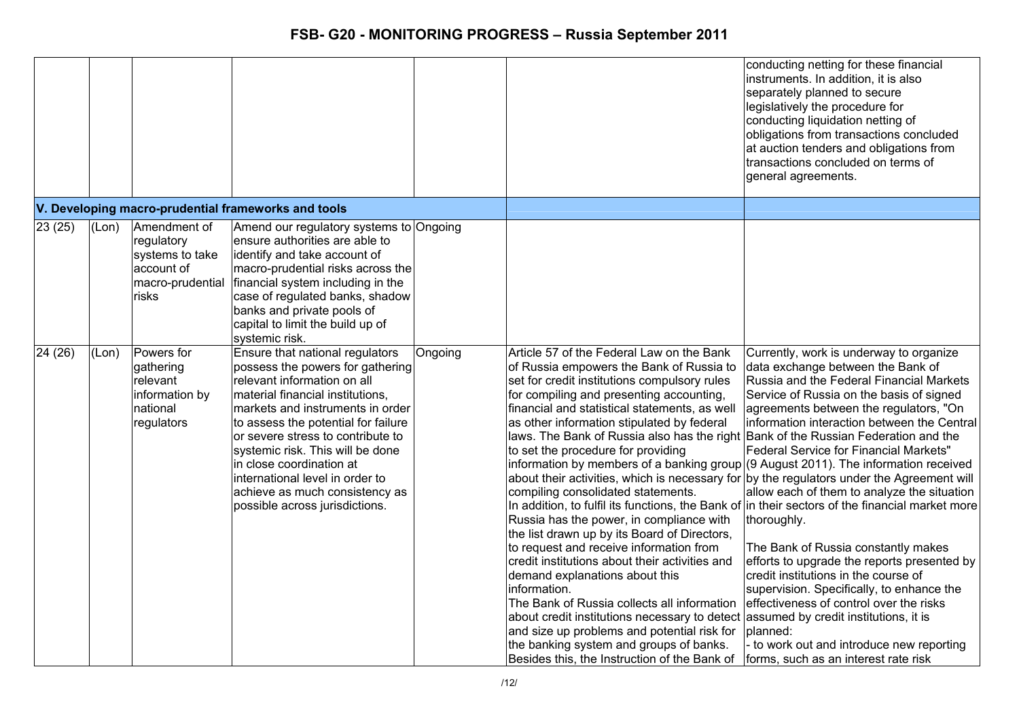|                  |       |                                                                                          |                                                                                                                                                                                                                                                                                                                                                                                                                               |         |                                                                                                                                                                                                                                                                                                                                                                                                                                                                                                                                                                                                                                                                                                                                                                                                                                                                                                                                                                                                                                                                                                                                                                                                                                                                      | conducting netting for these financial<br>instruments. In addition, it is also<br>separately planned to secure<br>legislatively the procedure for<br>conducting liquidation netting of<br>obligations from transactions concluded<br>at auction tenders and obligations from<br>transactions concluded on terms of<br>general agreements.                                                                                                                                                                                                                                                                                                                                                         |
|------------------|-------|------------------------------------------------------------------------------------------|-------------------------------------------------------------------------------------------------------------------------------------------------------------------------------------------------------------------------------------------------------------------------------------------------------------------------------------------------------------------------------------------------------------------------------|---------|----------------------------------------------------------------------------------------------------------------------------------------------------------------------------------------------------------------------------------------------------------------------------------------------------------------------------------------------------------------------------------------------------------------------------------------------------------------------------------------------------------------------------------------------------------------------------------------------------------------------------------------------------------------------------------------------------------------------------------------------------------------------------------------------------------------------------------------------------------------------------------------------------------------------------------------------------------------------------------------------------------------------------------------------------------------------------------------------------------------------------------------------------------------------------------------------------------------------------------------------------------------------|---------------------------------------------------------------------------------------------------------------------------------------------------------------------------------------------------------------------------------------------------------------------------------------------------------------------------------------------------------------------------------------------------------------------------------------------------------------------------------------------------------------------------------------------------------------------------------------------------------------------------------------------------------------------------------------------------|
|                  |       |                                                                                          | V. Developing macro-prudential frameworks and tools                                                                                                                                                                                                                                                                                                                                                                           |         |                                                                                                                                                                                                                                                                                                                                                                                                                                                                                                                                                                                                                                                                                                                                                                                                                                                                                                                                                                                                                                                                                                                                                                                                                                                                      |                                                                                                                                                                                                                                                                                                                                                                                                                                                                                                                                                                                                                                                                                                   |
| 23(25)           | (Lon) | Amendment of<br>regulatory<br>systems to take<br>account of<br>macro-prudential<br>risks | Amend our regulatory systems to Ongoing<br>ensure authorities are able to<br>identify and take account of<br>macro-prudential risks across the<br>financial system including in the<br>case of regulated banks, shadow<br>banks and private pools of<br>capital to limit the build up of<br>systemic risk.                                                                                                                    |         |                                                                                                                                                                                                                                                                                                                                                                                                                                                                                                                                                                                                                                                                                                                                                                                                                                                                                                                                                                                                                                                                                                                                                                                                                                                                      |                                                                                                                                                                                                                                                                                                                                                                                                                                                                                                                                                                                                                                                                                                   |
| $\sqrt{24}$ (26) | (Lon) | Powers for<br>gathering<br>relevant<br>information by<br>national<br>regulators          | Ensure that national regulators<br>possess the powers for gathering<br>relevant information on all<br>material financial institutions,<br>markets and instruments in order<br>to assess the potential for failure<br>or severe stress to contribute to<br>systemic risk. This will be done<br>in close coordination at<br>international level in order to<br>achieve as much consistency as<br>possible across jurisdictions. | Ongoing | Article 57 of the Federal Law on the Bank<br>of Russia empowers the Bank of Russia to<br>set for credit institutions compulsory rules<br>for compiling and presenting accounting,<br>financial and statistical statements, as well<br>as other information stipulated by federal<br>laws. The Bank of Russia also has the right Bank of the Russian Federation and the<br>to set the procedure for providing<br>information by members of a banking group (9 August 2011). The information received<br>about their activities, which is necessary for by the regulators under the Agreement will<br>compiling consolidated statements.<br>In addition, to fulfil its functions, the Bank of in their sectors of the financial market more<br>Russia has the power, in compliance with<br>the list drawn up by its Board of Directors,<br>to request and receive information from<br>credit institutions about their activities and<br>demand explanations about this<br>information.<br>The Bank of Russia collects all information<br>about credit institutions necessary to detect assumed by credit institutions, it is<br>and size up problems and potential risk for<br>the banking system and groups of banks.<br>Besides this, the Instruction of the Bank of | Currently, work is underway to organize<br>data exchange between the Bank of<br>Russia and the Federal Financial Markets<br>Service of Russia on the basis of signed<br>agreements between the regulators, "On<br>information interaction between the Central<br><b>Federal Service for Financial Markets"</b><br>allow each of them to analyze the situation<br>thoroughly.<br>The Bank of Russia constantly makes<br>efforts to upgrade the reports presented by<br>credit institutions in the course of<br>supervision. Specifically, to enhance the<br>effectiveness of control over the risks<br>planned:<br>to work out and introduce new reporting<br>forms, such as an interest rate risk |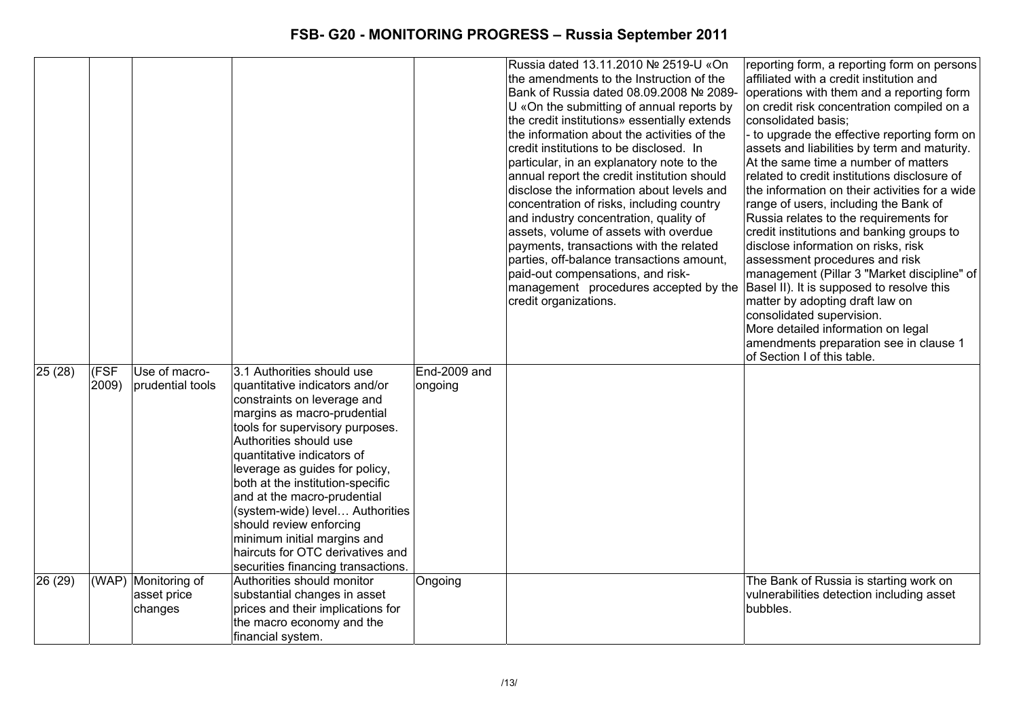|                  |       |                     |                                    |              | Russia dated 13.11.2010 № 2519-U «On         | reporting form, a reporting form on persons    |
|------------------|-------|---------------------|------------------------------------|--------------|----------------------------------------------|------------------------------------------------|
|                  |       |                     |                                    |              | the amendments to the Instruction of the     | affiliated with a credit institution and       |
|                  |       |                     |                                    |              | Bank of Russia dated 08.09.2008 № 2089-      | operations with them and a reporting form      |
|                  |       |                     |                                    |              | U «On the submitting of annual reports by    | on credit risk concentration compiled on a     |
|                  |       |                     |                                    |              | the credit institutions» essentially extends | consolidated basis;                            |
|                  |       |                     |                                    |              | the information about the activities of the  | - to upgrade the effective reporting form on   |
|                  |       |                     |                                    |              | credit institutions to be disclosed. In      | assets and liabilities by term and maturity.   |
|                  |       |                     |                                    |              | particular, in an explanatory note to the    | At the same time a number of matters           |
|                  |       |                     |                                    |              | annual report the credit institution should  | related to credit institutions disclosure of   |
|                  |       |                     |                                    |              | disclose the information about levels and    | the information on their activities for a wide |
|                  |       |                     |                                    |              | concentration of risks, including country    | range of users, including the Bank of          |
|                  |       |                     |                                    |              | and industry concentration, quality of       | Russia relates to the requirements for         |
|                  |       |                     |                                    |              | assets, volume of assets with overdue        | credit institutions and banking groups to      |
|                  |       |                     |                                    |              | payments, transactions with the related      | disclose information on risks, risk            |
|                  |       |                     |                                    |              | parties, off-balance transactions amount,    | assessment procedures and risk                 |
|                  |       |                     |                                    |              | paid-out compensations, and risk-            | management (Pillar 3 "Market discipline" of    |
|                  |       |                     |                                    |              | management procedures accepted by the        | Basel II). It is supposed to resolve this      |
|                  |       |                     |                                    |              | credit organizations.                        | matter by adopting draft law on                |
|                  |       |                     |                                    |              |                                              | consolidated supervision.                      |
|                  |       |                     |                                    |              |                                              | More detailed information on legal             |
|                  |       |                     |                                    |              |                                              | amendments preparation see in clause 1         |
|                  |       |                     |                                    |              |                                              | of Section I of this table.                    |
| $\sqrt{25}$ (28) | (FSF  | Use of macro-       | 3.1 Authorities should use         | End-2009 and |                                              |                                                |
|                  | 2009) | prudential tools    | quantitative indicators and/or     | ongoing      |                                              |                                                |
|                  |       |                     | constraints on leverage and        |              |                                              |                                                |
|                  |       |                     | margins as macro-prudential        |              |                                              |                                                |
|                  |       |                     | tools for supervisory purposes.    |              |                                              |                                                |
|                  |       |                     | Authorities should use             |              |                                              |                                                |
|                  |       |                     | quantitative indicators of         |              |                                              |                                                |
|                  |       |                     | leverage as guides for policy,     |              |                                              |                                                |
|                  |       |                     | both at the institution-specific   |              |                                              |                                                |
|                  |       |                     | and at the macro-prudential        |              |                                              |                                                |
|                  |       |                     | (system-wide) level Authorities    |              |                                              |                                                |
|                  |       |                     | should review enforcing            |              |                                              |                                                |
|                  |       |                     | minimum initial margins and        |              |                                              |                                                |
|                  |       |                     | haircuts for OTC derivatives and   |              |                                              |                                                |
|                  |       |                     | securities financing transactions. |              |                                              |                                                |
| 26 (29)          |       | (WAP) Monitoring of | Authorities should monitor         | Ongoing      |                                              | The Bank of Russia is starting work on         |
|                  |       | asset price         | substantial changes in asset       |              |                                              | vulnerabilities detection including asset      |
|                  |       | changes             | prices and their implications for  |              |                                              | bubbles.                                       |
|                  |       |                     | the macro economy and the          |              |                                              |                                                |
|                  |       |                     | financial system.                  |              |                                              |                                                |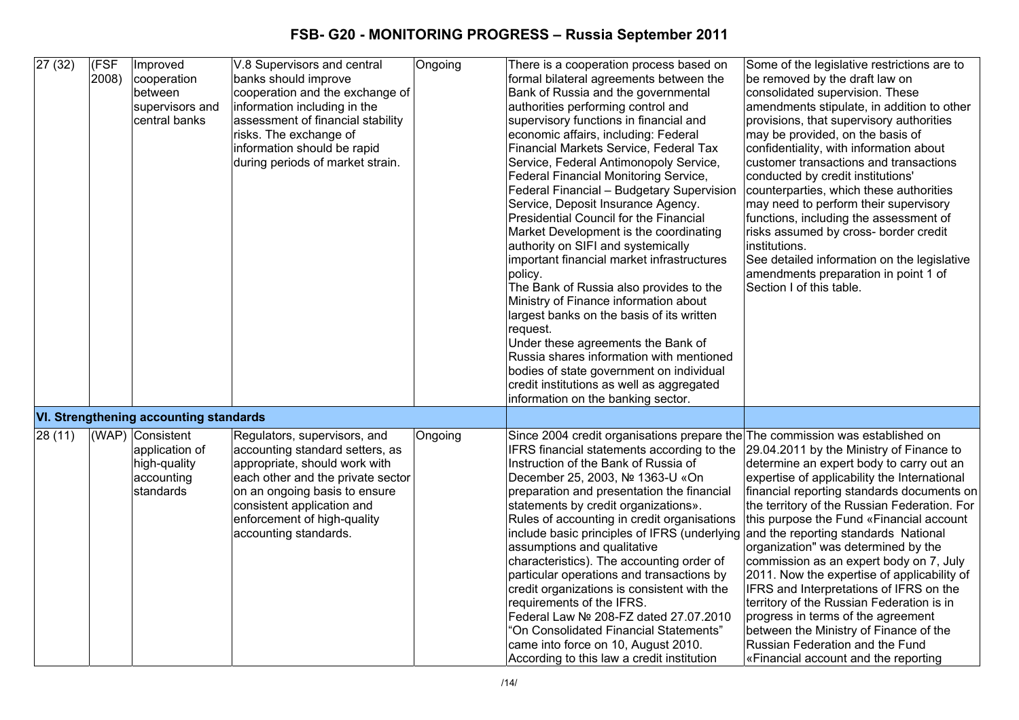| 27(32) | (FSF<br>$ 2008\rangle$ | Improved<br>cooperation<br>between<br>supervisors and<br>central banks        | V.8 Supervisors and central<br>banks should improve<br>cooperation and the exchange of<br>information including in the<br>assessment of financial stability<br>risks. The exchange of<br>information should be rapid<br>during periods of market strain.     | Ongoing | There is a cooperation process based on<br>formal bilateral agreements between the<br>Bank of Russia and the governmental<br>authorities performing control and<br>supervisory functions in financial and<br>economic affairs, including: Federal<br>Financial Markets Service, Federal Tax<br>Service, Federal Antimonopoly Service,<br><b>Federal Financial Monitoring Service,</b><br>Federal Financial - Budgetary Supervision<br>Service, Deposit Insurance Agency.<br>Presidential Council for the Financial<br>Market Development is the coordinating<br>authority on SIFI and systemically<br>important financial market infrastructures<br>policy.<br>The Bank of Russia also provides to the<br>Ministry of Finance information about<br>largest banks on the basis of its written<br>request.<br>Under these agreements the Bank of<br>Russia shares information with mentioned<br>bodies of state government on individual<br>credit institutions as well as aggregated<br>information on the banking sector. | Some of the legislative restrictions are to<br>be removed by the draft law on<br>consolidated supervision. These<br>amendments stipulate, in addition to other<br>provisions, that supervisory authorities<br>may be provided, on the basis of<br>confidentiality, with information about<br>customer transactions and transactions<br>conducted by credit institutions'<br>counterparties, which these authorities<br>may need to perform their supervisory<br>functions, including the assessment of<br>risks assumed by cross- border credit<br>institutions.<br>See detailed information on the legislative<br>amendments preparation in point 1 of<br>Section I of this table.                        |
|--------|------------------------|-------------------------------------------------------------------------------|--------------------------------------------------------------------------------------------------------------------------------------------------------------------------------------------------------------------------------------------------------------|---------|---------------------------------------------------------------------------------------------------------------------------------------------------------------------------------------------------------------------------------------------------------------------------------------------------------------------------------------------------------------------------------------------------------------------------------------------------------------------------------------------------------------------------------------------------------------------------------------------------------------------------------------------------------------------------------------------------------------------------------------------------------------------------------------------------------------------------------------------------------------------------------------------------------------------------------------------------------------------------------------------------------------------------|------------------------------------------------------------------------------------------------------------------------------------------------------------------------------------------------------------------------------------------------------------------------------------------------------------------------------------------------------------------------------------------------------------------------------------------------------------------------------------------------------------------------------------------------------------------------------------------------------------------------------------------------------------------------------------------------------------|
|        |                        | <b>VI. Strengthening accounting standards</b>                                 |                                                                                                                                                                                                                                                              |         |                                                                                                                                                                                                                                                                                                                                                                                                                                                                                                                                                                                                                                                                                                                                                                                                                                                                                                                                                                                                                           |                                                                                                                                                                                                                                                                                                                                                                                                                                                                                                                                                                                                                                                                                                            |
| 28(11) |                        | (WAP) Consistent<br>application of<br>high-quality<br>accounting<br>standards | Regulators, supervisors, and<br>accounting standard setters, as<br>appropriate, should work with<br>each other and the private sector<br>on an ongoing basis to ensure<br>consistent application and<br>enforcement of high-quality<br>accounting standards. | Ongoing | Since 2004 credit organisations prepare the The commission was established on<br>IFRS financial statements according to the<br>Instruction of the Bank of Russia of<br>December 25, 2003, № 1363-U «On<br>preparation and presentation the financial<br>statements by credit organizations».<br>Rules of accounting in credit organisations<br>include basic principles of IFRS (underlying<br>assumptions and qualitative<br>characteristics). The accounting order of<br>particular operations and transactions by<br>credit organizations is consistent with the<br>requirements of the IFRS.<br>Federal Law Nº 208-FZ dated 27.07.2010<br>"On Consolidated Financial Statements"<br>came into force on 10, August 2010.<br>According to this law a credit institution                                                                                                                                                                                                                                                 | 29.04.2011 by the Ministry of Finance to<br>determine an expert body to carry out an<br>expertise of applicability the International<br>financial reporting standards documents on<br>the territory of the Russian Federation. For<br>this purpose the Fund «Financial account<br>and the reporting standards National<br>organization" was determined by the<br>commission as an expert body on 7, July<br>2011. Now the expertise of applicability of<br>IFRS and Interpretations of IFRS on the<br>territory of the Russian Federation is in<br>progress in terms of the agreement<br>between the Ministry of Finance of the<br>Russian Federation and the Fund<br>«Financial account and the reporting |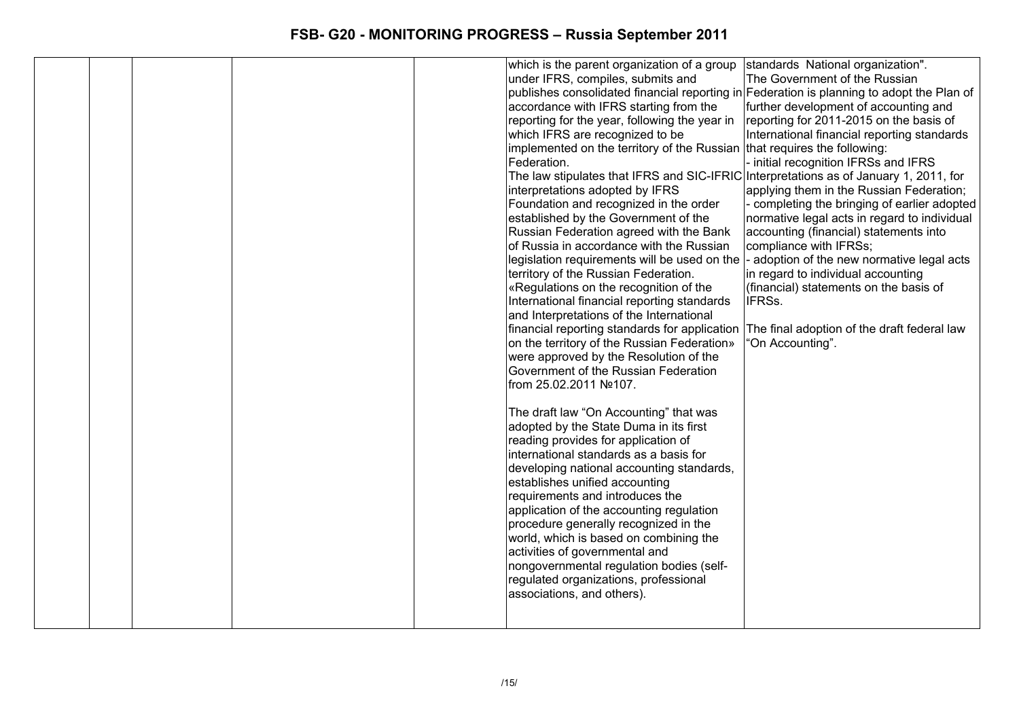|  |  | which is the parent organization of a group   standards National organization".           |                                              |
|--|--|-------------------------------------------------------------------------------------------|----------------------------------------------|
|  |  | under IFRS, compiles, submits and                                                         | The Government of the Russian                |
|  |  | publishes consolidated financial reporting in Federation is planning to adopt the Plan of |                                              |
|  |  | accordance with IFRS starting from the                                                    | further development of accounting and        |
|  |  | reporting for the year, following the year in                                             | reporting for 2011-2015 on the basis of      |
|  |  | which IFRS are recognized to be                                                           | International financial reporting standards  |
|  |  | implemented on the territory of the Russian that requires the following:                  |                                              |
|  |  | Federation.                                                                               | initial recognition IFRSs and IFRS           |
|  |  | The law stipulates that IFRS and SIC-IFRIC Interpretations as of January 1, 2011, for     |                                              |
|  |  | interpretations adopted by IFRS                                                           | applying them in the Russian Federation;     |
|  |  | Foundation and recognized in the order                                                    | completing the bringing of earlier adopted   |
|  |  | established by the Government of the                                                      | normative legal acts in regard to individual |
|  |  | Russian Federation agreed with the Bank                                                   | accounting (financial) statements into       |
|  |  | of Russia in accordance with the Russian                                                  | compliance with IFRSs;                       |
|  |  | legislation requirements will be used on the                                              | - adoption of the new normative legal acts   |
|  |  | territory of the Russian Federation.                                                      | in regard to individual accounting           |
|  |  | «Regulations on the recognition of the                                                    | (financial) statements on the basis of       |
|  |  | International financial reporting standards                                               | IFRSs.                                       |
|  |  | and Interpretations of the International                                                  |                                              |
|  |  | financial reporting standards for application The final adoption of the draft federal law |                                              |
|  |  | on the territory of the Russian Federation»                                               | 'On Accounting".                             |
|  |  | were approved by the Resolution of the                                                    |                                              |
|  |  | Government of the Russian Federation                                                      |                                              |
|  |  | from 25.02.2011 №107.                                                                     |                                              |
|  |  |                                                                                           |                                              |
|  |  | The draft law "On Accounting" that was                                                    |                                              |
|  |  | adopted by the State Duma in its first                                                    |                                              |
|  |  | reading provides for application of                                                       |                                              |
|  |  | international standards as a basis for                                                    |                                              |
|  |  | developing national accounting standards,                                                 |                                              |
|  |  | establishes unified accounting                                                            |                                              |
|  |  | requirements and introduces the                                                           |                                              |
|  |  | application of the accounting regulation                                                  |                                              |
|  |  | procedure generally recognized in the                                                     |                                              |
|  |  | world, which is based on combining the                                                    |                                              |
|  |  | activities of governmental and                                                            |                                              |
|  |  | nongovernmental regulation bodies (self-                                                  |                                              |
|  |  | regulated organizations, professional                                                     |                                              |
|  |  | associations, and others).                                                                |                                              |
|  |  |                                                                                           |                                              |
|  |  |                                                                                           |                                              |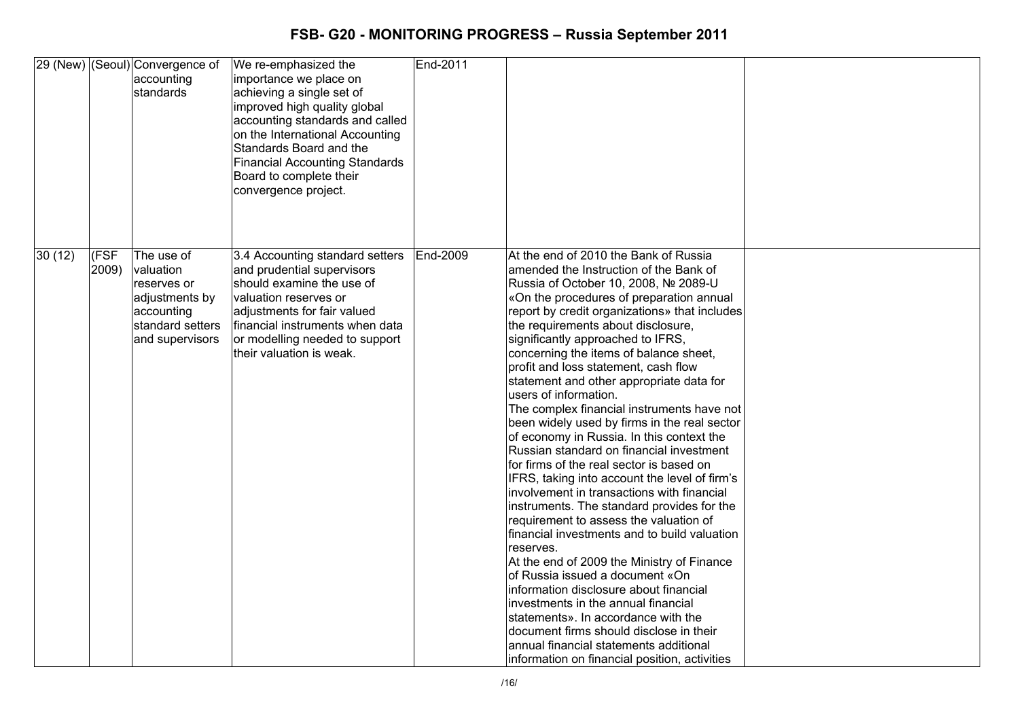|        |                | 29 (New) (Seoul) Convergence of<br>accounting<br>standards                                                    | We re-emphasized the<br>importance we place on<br>achieving a single set of<br>improved high quality global<br>accounting standards and called<br>on the International Accounting<br>Standards Board and the<br><b>Financial Accounting Standards</b><br>Board to complete their<br>convergence project. | End-2011 |                                                                                                                                                                                                                                                                                                                                                                                                                                                                                                                                                                                                                                                                                                                                                                                                                                                                                                                                                                                                                                                                                                                                                                                                                                                                                              |  |
|--------|----------------|---------------------------------------------------------------------------------------------------------------|----------------------------------------------------------------------------------------------------------------------------------------------------------------------------------------------------------------------------------------------------------------------------------------------------------|----------|----------------------------------------------------------------------------------------------------------------------------------------------------------------------------------------------------------------------------------------------------------------------------------------------------------------------------------------------------------------------------------------------------------------------------------------------------------------------------------------------------------------------------------------------------------------------------------------------------------------------------------------------------------------------------------------------------------------------------------------------------------------------------------------------------------------------------------------------------------------------------------------------------------------------------------------------------------------------------------------------------------------------------------------------------------------------------------------------------------------------------------------------------------------------------------------------------------------------------------------------------------------------------------------------|--|
| 30(12) | (FSF)<br>2009) | The use of<br>valuation<br>reserves or<br>adjustments by<br>accounting<br>standard setters<br>and supervisors | 3.4 Accounting standard setters<br>and prudential supervisors<br>should examine the use of<br>valuation reserves or<br>adjustments for fair valued<br>financial instruments when data<br>or modelling needed to support<br>their valuation is weak.                                                      | End-2009 | At the end of 2010 the Bank of Russia<br>amended the Instruction of the Bank of<br>Russia of October 10, 2008, № 2089-U<br>«On the procedures of preparation annual<br>report by credit organizations» that includes<br>the requirements about disclosure,<br>significantly approached to IFRS,<br>concerning the items of balance sheet,<br>profit and loss statement, cash flow<br>statement and other appropriate data for<br>users of information.<br>The complex financial instruments have not<br>been widely used by firms in the real sector<br>of economy in Russia. In this context the<br>Russian standard on financial investment<br>for firms of the real sector is based on<br>IFRS, taking into account the level of firm's<br>involvement in transactions with financial<br>instruments. The standard provides for the<br>requirement to assess the valuation of<br>financial investments and to build valuation<br>reserves.<br>At the end of 2009 the Ministry of Finance<br>of Russia issued a document «On<br>information disclosure about financial<br>investments in the annual financial<br>statements». In accordance with the<br>document firms should disclose in their<br>annual financial statements additional<br>information on financial position, activities |  |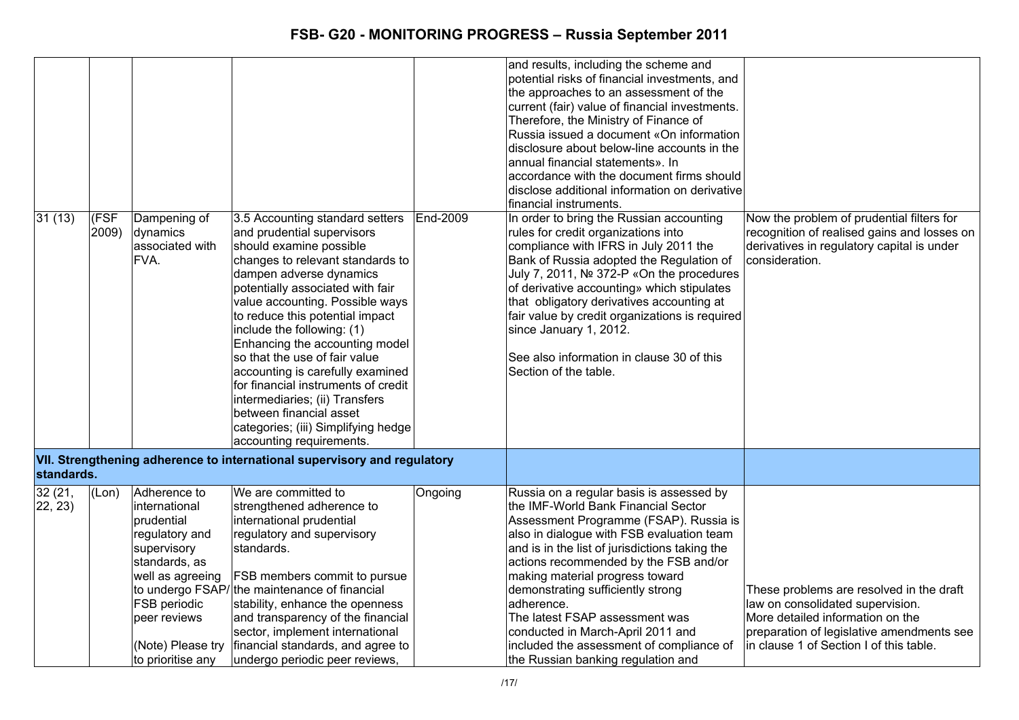| 31(13)             | (FSF<br>2009) | Dampening of<br>dynamics<br>associated with<br>FVA.                                                                                                                                         | 3.5 Accounting standard setters<br>and prudential supervisors<br>should examine possible<br>changes to relevant standards to<br>dampen adverse dynamics<br>potentially associated with fair<br>value accounting. Possible ways<br>to reduce this potential impact<br>include the following: (1)<br>Enhancing the accounting model<br>so that the use of fair value<br>accounting is carefully examined<br>for financial instruments of credit<br>intermediaries; (ii) Transfers<br>between financial asset<br>categories; (iii) Simplifying hedge<br>accounting requirements. | End-2009 | and results, including the scheme and<br>potential risks of financial investments, and<br>the approaches to an assessment of the<br>current (fair) value of financial investments.<br>Therefore, the Ministry of Finance of<br>Russia issued a document «On information<br>disclosure about below-line accounts in the<br>annual financial statements». In<br>accordance with the document firms should<br>disclose additional information on derivative<br>financial instruments.<br>In order to bring the Russian accounting<br>rules for credit organizations into<br>compliance with IFRS in July 2011 the<br>Bank of Russia adopted the Regulation of<br>July 7, 2011, № 372-P «On the procedures<br>of derivative accounting» which stipulates<br>that obligatory derivatives accounting at<br>fair value by credit organizations is required<br>since January 1, 2012.<br>See also information in clause 30 of this<br>Section of the table. | Now the problem of prudential filters for<br>recognition of realised gains and losses on<br>derivatives in regulatory capital is under<br>consideration.                                                 |
|--------------------|---------------|---------------------------------------------------------------------------------------------------------------------------------------------------------------------------------------------|-------------------------------------------------------------------------------------------------------------------------------------------------------------------------------------------------------------------------------------------------------------------------------------------------------------------------------------------------------------------------------------------------------------------------------------------------------------------------------------------------------------------------------------------------------------------------------|----------|-----------------------------------------------------------------------------------------------------------------------------------------------------------------------------------------------------------------------------------------------------------------------------------------------------------------------------------------------------------------------------------------------------------------------------------------------------------------------------------------------------------------------------------------------------------------------------------------------------------------------------------------------------------------------------------------------------------------------------------------------------------------------------------------------------------------------------------------------------------------------------------------------------------------------------------------------------|----------------------------------------------------------------------------------------------------------------------------------------------------------------------------------------------------------|
| standards.         |               |                                                                                                                                                                                             | VII. Strengthening adherence to international supervisory and regulatory                                                                                                                                                                                                                                                                                                                                                                                                                                                                                                      |          |                                                                                                                                                                                                                                                                                                                                                                                                                                                                                                                                                                                                                                                                                                                                                                                                                                                                                                                                                     |                                                                                                                                                                                                          |
| 32 (21,<br>22, 23) | (Lon)         | Adherence to<br>international<br>prudential<br>regulatory and<br>supervisory<br>standards, as<br>well as agreeing<br>FSB periodic<br>peer reviews<br>(Note) Please try<br>to prioritise any | We are committed to<br>strengthened adherence to<br>international prudential<br>regulatory and supervisory<br>standards.<br>FSB members commit to pursue<br>to undergo FSAP/the maintenance of financial<br>stability, enhance the openness<br>and transparency of the financial<br>sector, implement international<br>financial standards, and agree to<br>undergo periodic peer reviews,                                                                                                                                                                                    | Ongoing  | Russia on a regular basis is assessed by<br>the IMF-World Bank Financial Sector<br>Assessment Programme (FSAP). Russia is<br>also in dialogue with FSB evaluation team<br>and is in the list of jurisdictions taking the<br>actions recommended by the FSB and/or<br>making material progress toward<br>demonstrating sufficiently strong<br>adherence.<br>The latest FSAP assessment was<br>conducted in March-April 2011 and<br>included the assessment of compliance of<br>the Russian banking regulation and                                                                                                                                                                                                                                                                                                                                                                                                                                    | These problems are resolved in the draft<br>law on consolidated supervision.<br>More detailed information on the<br>preparation of legislative amendments see<br>in clause 1 of Section I of this table. |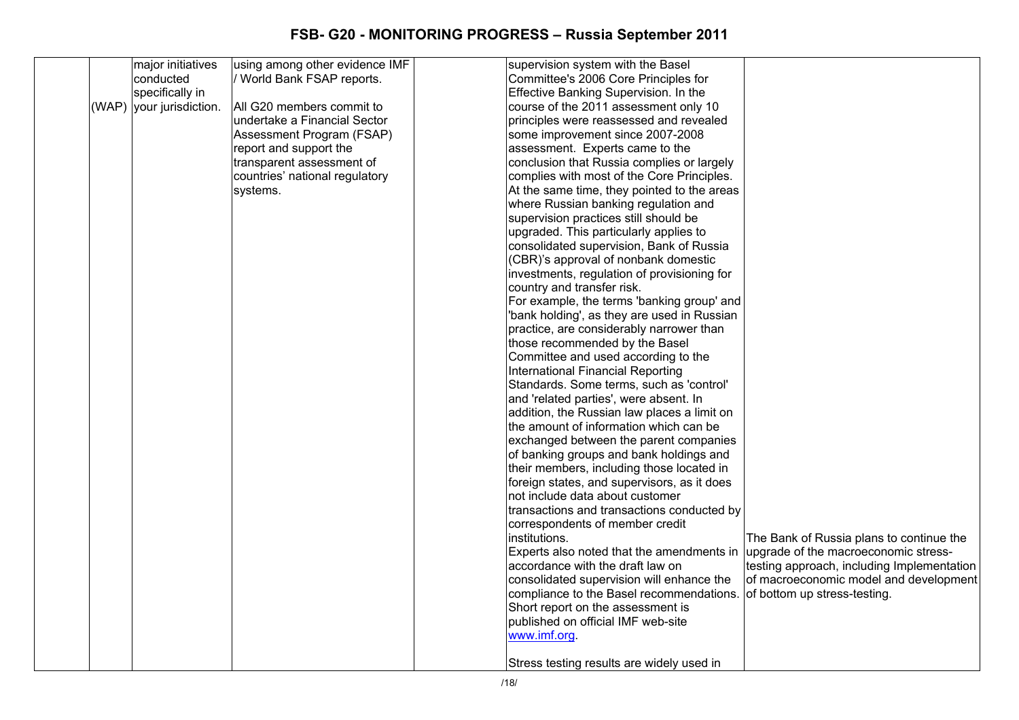|       | major initiatives  | using among other evidence IMF | supervision system with the Basel           |                                            |
|-------|--------------------|--------------------------------|---------------------------------------------|--------------------------------------------|
|       | conducted          | / World Bank FSAP reports.     | Committee's 2006 Core Principles for        |                                            |
|       | specifically in    |                                | Effective Banking Supervision. In the       |                                            |
| (WAP) | your jurisdiction. | All G20 members commit to      | course of the 2011 assessment only 10       |                                            |
|       |                    | undertake a Financial Sector   | principles were reassessed and revealed     |                                            |
|       |                    | Assessment Program (FSAP)      | some improvement since 2007-2008            |                                            |
|       |                    | report and support the         | assessment. Experts came to the             |                                            |
|       |                    | transparent assessment of      | conclusion that Russia complies or largely  |                                            |
|       |                    | countries' national regulatory | complies with most of the Core Principles.  |                                            |
|       |                    | systems.                       | At the same time, they pointed to the areas |                                            |
|       |                    |                                | where Russian banking regulation and        |                                            |
|       |                    |                                | supervision practices still should be       |                                            |
|       |                    |                                | upgraded. This particularly applies to      |                                            |
|       |                    |                                | consolidated supervision, Bank of Russia    |                                            |
|       |                    |                                | (CBR)'s approval of nonbank domestic        |                                            |
|       |                    |                                | investments, regulation of provisioning for |                                            |
|       |                    |                                | country and transfer risk.                  |                                            |
|       |                    |                                | For example, the terms 'banking group' and  |                                            |
|       |                    |                                | 'bank holding', as they are used in Russian |                                            |
|       |                    |                                | practice, are considerably narrower than    |                                            |
|       |                    |                                | those recommended by the Basel              |                                            |
|       |                    |                                | Committee and used according to the         |                                            |
|       |                    |                                | International Financial Reporting           |                                            |
|       |                    |                                | Standards. Some terms, such as 'control'    |                                            |
|       |                    |                                | and 'related parties', were absent. In      |                                            |
|       |                    |                                | addition, the Russian law places a limit on |                                            |
|       |                    |                                | the amount of information which can be      |                                            |
|       |                    |                                | exchanged between the parent companies      |                                            |
|       |                    |                                | of banking groups and bank holdings and     |                                            |
|       |                    |                                | their members, including those located in   |                                            |
|       |                    |                                | foreign states, and supervisors, as it does |                                            |
|       |                    |                                | not include data about customer             |                                            |
|       |                    |                                | transactions and transactions conducted by  |                                            |
|       |                    |                                | correspondents of member credit             |                                            |
|       |                    |                                | institutions.                               | The Bank of Russia plans to continue the   |
|       |                    |                                | Experts also noted that the amendments in   | upgrade of the macroeconomic stress-       |
|       |                    |                                | accordance with the draft law on            | testing approach, including Implementation |
|       |                    |                                | consolidated supervision will enhance the   | of macroeconomic model and development     |
|       |                    |                                | compliance to the Basel recommendations.    | of bottom up stress-testing.               |
|       |                    |                                | Short report on the assessment is           |                                            |
|       |                    |                                | published on official IMF web-site          |                                            |
|       |                    |                                | www.imf.org.                                |                                            |
|       |                    |                                |                                             |                                            |
|       |                    |                                | Stress testing results are widely used in   |                                            |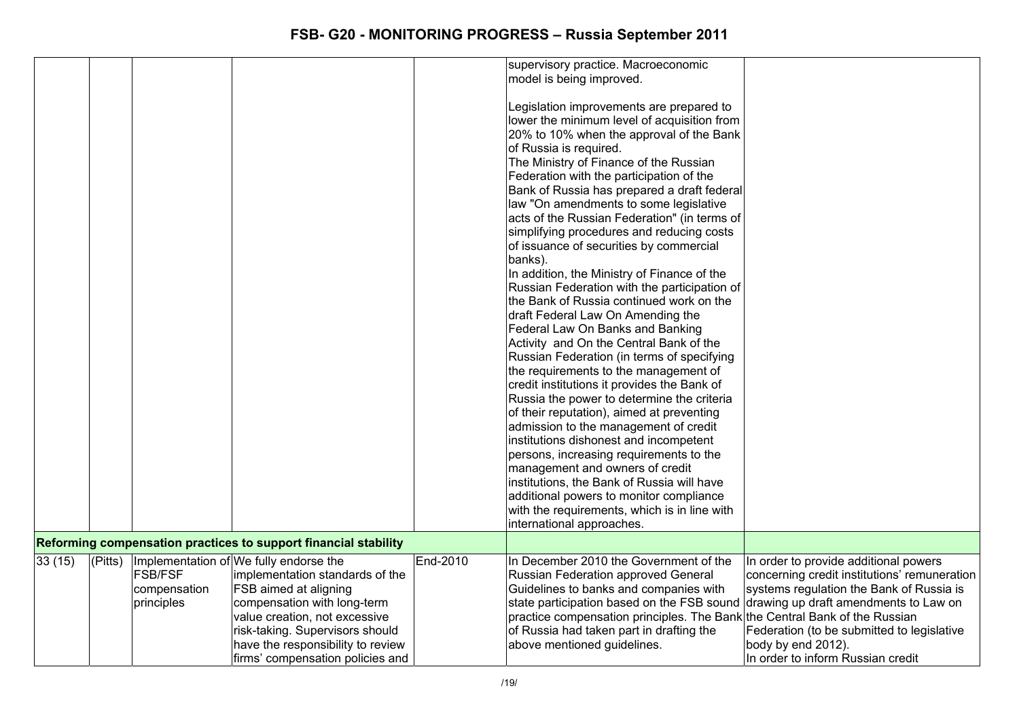|        |         |                                              |                                                                                                                                                                                                                                                                                       |          | supervisory practice. Macroeconomic<br>model is being improved.<br>Legislation improvements are prepared to<br>lower the minimum level of acquisition from<br>20% to 10% when the approval of the Bank<br>of Russia is required.<br>The Ministry of Finance of the Russian<br>Federation with the participation of the<br>Bank of Russia has prepared a draft federal<br>law "On amendments to some legislative<br>acts of the Russian Federation" (in terms of<br>simplifying procedures and reducing costs<br>of issuance of securities by commercial<br>banks).<br>In addition, the Ministry of Finance of the<br>Russian Federation with the participation of<br>the Bank of Russia continued work on the<br>draft Federal Law On Amending the<br>Federal Law On Banks and Banking<br>Activity and On the Central Bank of the<br>Russian Federation (in terms of specifying<br>the requirements to the management of<br>credit institutions it provides the Bank of<br>Russia the power to determine the criteria<br>of their reputation), aimed at preventing<br>admission to the management of credit<br>institutions dishonest and incompetent<br>persons, increasing requirements to the<br>management and owners of credit<br>institutions, the Bank of Russia will have<br>additional powers to monitor compliance<br>with the requirements, which is in line with<br>international approaches. |                                                                                                                                                                                                                                                                                     |
|--------|---------|----------------------------------------------|---------------------------------------------------------------------------------------------------------------------------------------------------------------------------------------------------------------------------------------------------------------------------------------|----------|-----------------------------------------------------------------------------------------------------------------------------------------------------------------------------------------------------------------------------------------------------------------------------------------------------------------------------------------------------------------------------------------------------------------------------------------------------------------------------------------------------------------------------------------------------------------------------------------------------------------------------------------------------------------------------------------------------------------------------------------------------------------------------------------------------------------------------------------------------------------------------------------------------------------------------------------------------------------------------------------------------------------------------------------------------------------------------------------------------------------------------------------------------------------------------------------------------------------------------------------------------------------------------------------------------------------------------------------------------------------------------------------------------------|-------------------------------------------------------------------------------------------------------------------------------------------------------------------------------------------------------------------------------------------------------------------------------------|
|        |         |                                              | Reforming compensation practices to support financial stability                                                                                                                                                                                                                       |          |                                                                                                                                                                                                                                                                                                                                                                                                                                                                                                                                                                                                                                                                                                                                                                                                                                                                                                                                                                                                                                                                                                                                                                                                                                                                                                                                                                                                           |                                                                                                                                                                                                                                                                                     |
| 33(15) | (Pitts) | <b>FSB/FSF</b><br>compensation<br>principles | Implementation of We fully endorse the<br>implementation standards of the<br><b>FSB</b> aimed at aligning<br>compensation with long-term<br>value creation, not excessive<br>risk-taking. Supervisors should<br>have the responsibility to review<br>firms' compensation policies and | End-2010 | In December 2010 the Government of the<br>Russian Federation approved General<br>Guidelines to banks and companies with<br>state participation based on the FSB sound<br>practice compensation principles. The Bank the Central Bank of the Russian<br>of Russia had taken part in drafting the<br>above mentioned guidelines.                                                                                                                                                                                                                                                                                                                                                                                                                                                                                                                                                                                                                                                                                                                                                                                                                                                                                                                                                                                                                                                                            | In order to provide additional powers<br>concerning credit institutions' remuneration<br>systems regulation the Bank of Russia is<br>drawing up draft amendments to Law on<br>Federation (to be submitted to legislative<br>body by end 2012).<br>In order to inform Russian credit |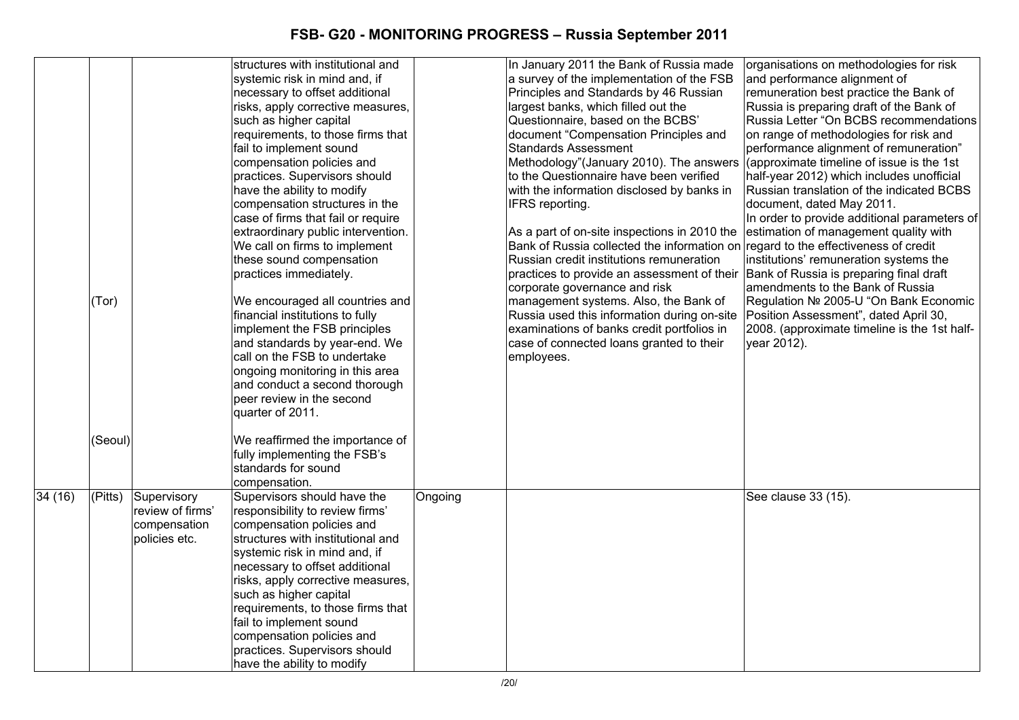|        |         |                  | structures with institutional and<br>systemic risk in mind and, if |         | In January 2011 the Bank of Russia made<br>a survey of the implementation of the FSB | organisations on methodologies for risk<br>and performance alignment of |
|--------|---------|------------------|--------------------------------------------------------------------|---------|--------------------------------------------------------------------------------------|-------------------------------------------------------------------------|
|        |         |                  | necessary to offset additional                                     |         | Principles and Standards by 46 Russian                                               | remuneration best practice the Bank of                                  |
|        |         |                  | risks, apply corrective measures,                                  |         | largest banks, which filled out the                                                  | Russia is preparing draft of the Bank of                                |
|        |         |                  | such as higher capital                                             |         | Questionnaire, based on the BCBS'                                                    | Russia Letter "On BCBS recommendations                                  |
|        |         |                  | requirements, to those firms that                                  |         | document "Compensation Principles and                                                | on range of methodologies for risk and                                  |
|        |         |                  | fail to implement sound                                            |         | <b>Standards Assessment</b>                                                          | performance alignment of remuneration"                                  |
|        |         |                  | compensation policies and                                          |         | Methodology"(January 2010). The answers                                              | (approximate timeline of issue is the 1st                               |
|        |         |                  | practices. Supervisors should                                      |         | to the Questionnaire have been verified                                              | half-year 2012) which includes unofficial                               |
|        |         |                  | have the ability to modify                                         |         | with the information disclosed by banks in                                           | Russian translation of the indicated BCBS                               |
|        |         |                  | compensation structures in the                                     |         | IFRS reporting.                                                                      | document, dated May 2011.                                               |
|        |         |                  | case of firms that fail or require                                 |         |                                                                                      | In order to provide additional parameters of                            |
|        |         |                  | extraordinary public intervention.                                 |         | As a part of on-site inspections in 2010 the                                         | estimation of management quality with                                   |
|        |         |                  | We call on firms to implement                                      |         | Bank of Russia collected the information on                                          | regard to the effectiveness of credit                                   |
|        |         |                  | these sound compensation                                           |         | Russian credit institutions remuneration                                             | institutions' remuneration systems the                                  |
|        |         |                  | practices immediately.                                             |         | practices to provide an assessment of their Bank of Russia is preparing final draft  |                                                                         |
|        |         |                  |                                                                    |         | corporate governance and risk                                                        | amendments to the Bank of Russia                                        |
|        | (Tor)   |                  | We encouraged all countries and                                    |         | management systems. Also, the Bank of                                                | Regulation № 2005-U "On Bank Economic                                   |
|        |         |                  | financial institutions to fully                                    |         | Russia used this information during on-site                                          | Position Assessment", dated April 30,                                   |
|        |         |                  | implement the FSB principles                                       |         | examinations of banks credit portfolios in                                           | 2008. (approximate timeline is the 1st half-                            |
|        |         |                  | and standards by year-end. We                                      |         | case of connected loans granted to their                                             | year 2012).                                                             |
|        |         |                  | call on the FSB to undertake                                       |         | employees.                                                                           |                                                                         |
|        |         |                  | ongoing monitoring in this area                                    |         |                                                                                      |                                                                         |
|        |         |                  | and conduct a second thorough                                      |         |                                                                                      |                                                                         |
|        |         |                  | peer review in the second                                          |         |                                                                                      |                                                                         |
|        |         |                  | quarter of 2011.                                                   |         |                                                                                      |                                                                         |
|        | (Seoul) |                  | We reaffirmed the importance of                                    |         |                                                                                      |                                                                         |
|        |         |                  | fully implementing the FSB's                                       |         |                                                                                      |                                                                         |
|        |         |                  | standards for sound                                                |         |                                                                                      |                                                                         |
|        |         |                  | compensation.                                                      |         |                                                                                      |                                                                         |
| 34(16) | (Pitts) | Supervisory      | Supervisors should have the                                        | Ongoing |                                                                                      | See clause 33 (15).                                                     |
|        |         | review of firms' | responsibility to review firms'                                    |         |                                                                                      |                                                                         |
|        |         | compensation     | compensation policies and                                          |         |                                                                                      |                                                                         |
|        |         | policies etc.    | structures with institutional and                                  |         |                                                                                      |                                                                         |
|        |         |                  | systemic risk in mind and, if                                      |         |                                                                                      |                                                                         |
|        |         |                  | necessary to offset additional                                     |         |                                                                                      |                                                                         |
|        |         |                  | risks, apply corrective measures,                                  |         |                                                                                      |                                                                         |
|        |         |                  | such as higher capital                                             |         |                                                                                      |                                                                         |
|        |         |                  | requirements, to those firms that                                  |         |                                                                                      |                                                                         |
|        |         |                  | fail to implement sound                                            |         |                                                                                      |                                                                         |
|        |         |                  | compensation policies and                                          |         |                                                                                      |                                                                         |
|        |         |                  | practices. Supervisors should                                      |         |                                                                                      |                                                                         |
|        |         |                  | have the ability to modify                                         |         |                                                                                      |                                                                         |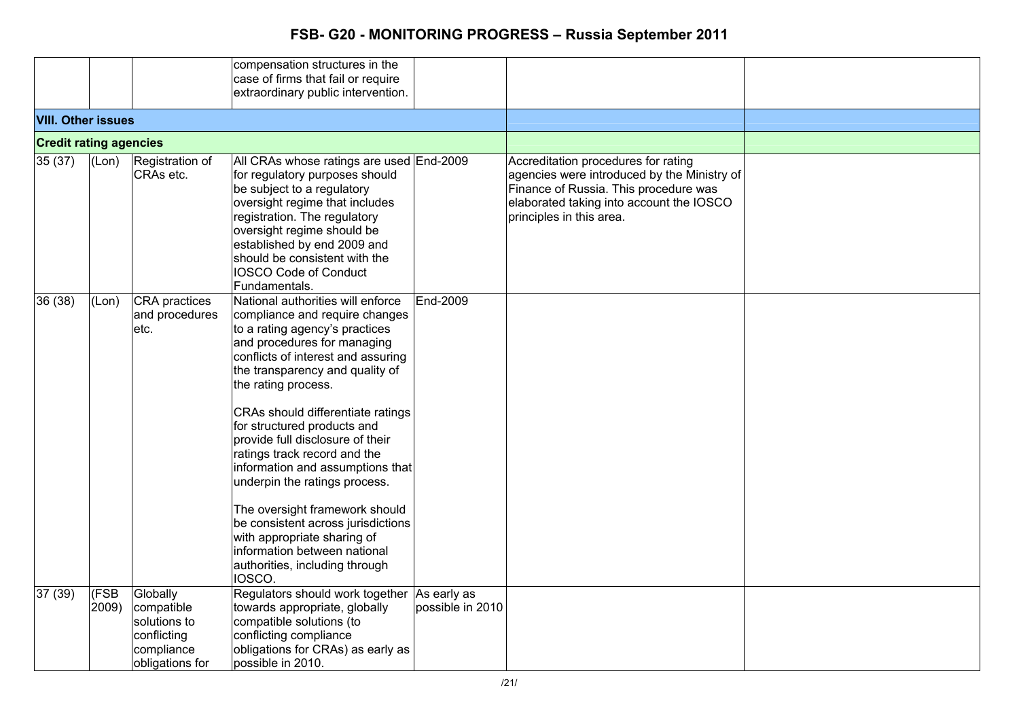|                               |               |                                                                                        | compensation structures in the<br>case of firms that fail or require<br>extraordinary public intervention.                                                                                                                                                                                                                                                                                                                                                                                                                                                                                                                           |                  |                                                                                                                                                                                                     |  |
|-------------------------------|---------------|----------------------------------------------------------------------------------------|--------------------------------------------------------------------------------------------------------------------------------------------------------------------------------------------------------------------------------------------------------------------------------------------------------------------------------------------------------------------------------------------------------------------------------------------------------------------------------------------------------------------------------------------------------------------------------------------------------------------------------------|------------------|-----------------------------------------------------------------------------------------------------------------------------------------------------------------------------------------------------|--|
| <b>VIII. Other issues</b>     |               |                                                                                        |                                                                                                                                                                                                                                                                                                                                                                                                                                                                                                                                                                                                                                      |                  |                                                                                                                                                                                                     |  |
| <b>Credit rating agencies</b> |               |                                                                                        |                                                                                                                                                                                                                                                                                                                                                                                                                                                                                                                                                                                                                                      |                  |                                                                                                                                                                                                     |  |
| 35(37)                        | (Lon)         | Registration of<br>CRAs etc.                                                           | All CRAs whose ratings are used End-2009<br>for regulatory purposes should<br>be subject to a regulatory<br>oversight regime that includes<br>registration. The regulatory<br>oversight regime should be<br>established by end 2009 and<br>should be consistent with the<br><b>IOSCO Code of Conduct</b><br>Fundamentals.                                                                                                                                                                                                                                                                                                            |                  | Accreditation procedures for rating<br>agencies were introduced by the Ministry of<br>Finance of Russia. This procedure was<br>elaborated taking into account the IOSCO<br>principles in this area. |  |
| 36 (38)                       | (Lon)         | CRA practices<br>and procedures<br>etc.                                                | National authorities will enforce<br>compliance and require changes<br>to a rating agency's practices<br>and procedures for managing<br>conflicts of interest and assuring<br>the transparency and quality of<br>the rating process.<br>CRAs should differentiate ratings<br>for structured products and<br>provide full disclosure of their<br>ratings track record and the<br>information and assumptions that<br>underpin the ratings process.<br>The oversight framework should<br>be consistent across jurisdictions<br>with appropriate sharing of<br>information between national<br>authorities, including through<br>IOSCO. | End-2009         |                                                                                                                                                                                                     |  |
| 37(39)                        | (FSB<br>2009) | Globally<br>compatible<br>solutions to<br>conflicting<br>compliance<br>obligations for | Regulators should work together As early as<br>towards appropriate, globally<br>compatible solutions (to<br>conflicting compliance<br>obligations for CRAs) as early as<br>possible in 2010.                                                                                                                                                                                                                                                                                                                                                                                                                                         | possible in 2010 |                                                                                                                                                                                                     |  |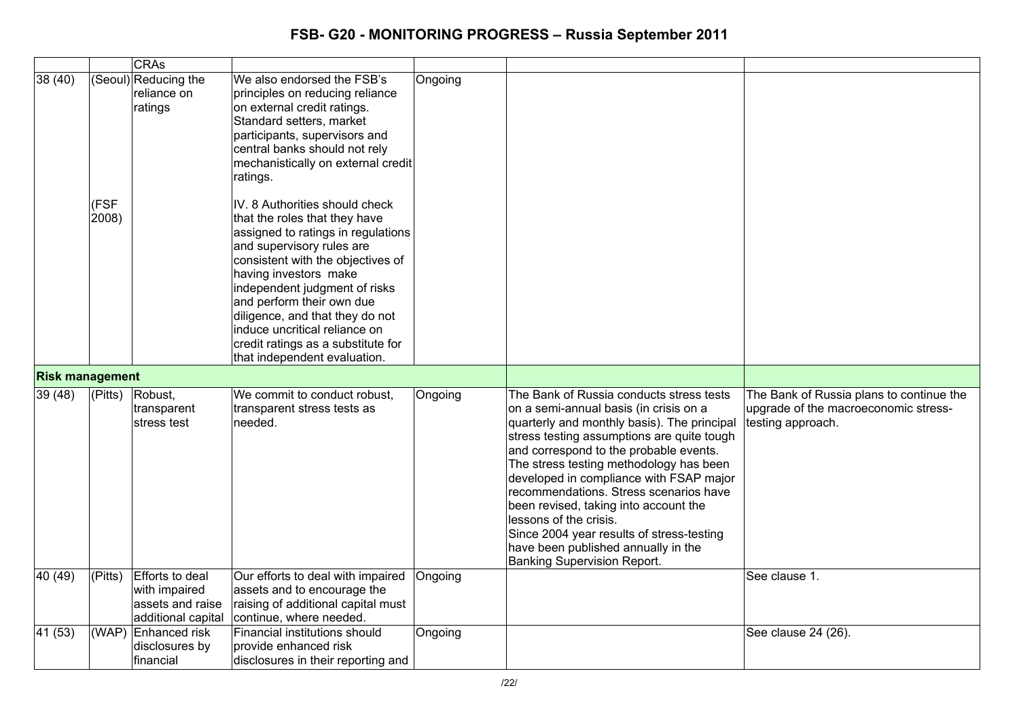| 38(40)                 | (FSF<br>2008) | <b>CRAs</b><br>(Seoul) Reducing the<br>reliance on<br>ratings                     | We also endorsed the FSB's<br>principles on reducing reliance<br>on external credit ratings.<br>Standard setters, market<br>participants, supervisors and<br>central banks should not rely<br>mechanistically on external credit<br>ratings.<br>IV. 8 Authorities should check<br>that the roles that they have<br>assigned to ratings in regulations<br>and supervisory rules are<br>consistent with the objectives of<br>having investors make | Ongoing |                                                                                                                                                                                                                                                                                                                                                                                                                                                                                                                                                        |                                                                                                       |
|------------------------|---------------|-----------------------------------------------------------------------------------|--------------------------------------------------------------------------------------------------------------------------------------------------------------------------------------------------------------------------------------------------------------------------------------------------------------------------------------------------------------------------------------------------------------------------------------------------|---------|--------------------------------------------------------------------------------------------------------------------------------------------------------------------------------------------------------------------------------------------------------------------------------------------------------------------------------------------------------------------------------------------------------------------------------------------------------------------------------------------------------------------------------------------------------|-------------------------------------------------------------------------------------------------------|
|                        |               |                                                                                   | independent judgment of risks<br>and perform their own due<br>diligence, and that they do not<br>induce uncritical reliance on<br>credit ratings as a substitute for<br>that independent evaluation.                                                                                                                                                                                                                                             |         |                                                                                                                                                                                                                                                                                                                                                                                                                                                                                                                                                        |                                                                                                       |
| <b>Risk management</b> |               |                                                                                   |                                                                                                                                                                                                                                                                                                                                                                                                                                                  |         |                                                                                                                                                                                                                                                                                                                                                                                                                                                                                                                                                        |                                                                                                       |
| 39(48)                 | $ $ (Pitts)   | Robust,<br>transparent<br>stress test                                             | We commit to conduct robust,<br>transparent stress tests as<br>needed.                                                                                                                                                                                                                                                                                                                                                                           | Ongoing | The Bank of Russia conducts stress tests<br>on a semi-annual basis (in crisis on a<br>quarterly and monthly basis). The principal<br>stress testing assumptions are quite tough<br>and correspond to the probable events.<br>The stress testing methodology has been<br>developed in compliance with FSAP major<br>recommendations. Stress scenarios have<br>been revised, taking into account the<br>lessons of the crisis.<br>Since 2004 year results of stress-testing<br>have been published annually in the<br><b>Banking Supervision Report.</b> | The Bank of Russia plans to continue the<br>upgrade of the macroeconomic stress-<br>testing approach. |
| 40(49)                 | $ $ (Pitts)   | <b>Efforts to deal</b><br>with impaired<br>assets and raise<br>additional capital | Our efforts to deal with impaired<br>assets and to encourage the<br>raising of additional capital must<br>continue, where needed.                                                                                                                                                                                                                                                                                                                | Ongoing |                                                                                                                                                                                                                                                                                                                                                                                                                                                                                                                                                        | See clause 1.                                                                                         |
| 41 (53)                |               | (WAP) Enhanced risk<br>disclosures by<br>financial                                | Financial institutions should<br>provide enhanced risk<br>disclosures in their reporting and                                                                                                                                                                                                                                                                                                                                                     | Ongoing |                                                                                                                                                                                                                                                                                                                                                                                                                                                                                                                                                        | See clause 24 (26).                                                                                   |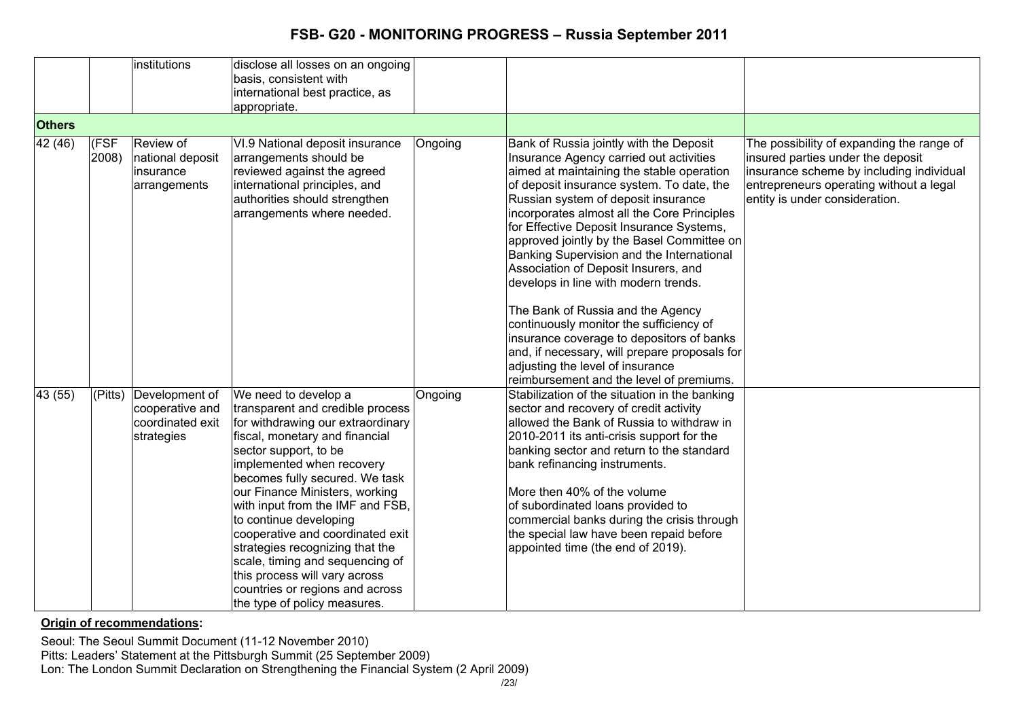|               |                        | institutions                                                        | disclose all losses on an ongoing<br>basis, consistent with<br>international best practice, as<br>appropriate.                                                                                                                                                                                                                                                                                                                                                                                                                        |         |                                                                                                                                                                                                                                                                                                                                                                                                                                                                                                                                                                                                                                                                                                                                                         |                                                                                                                                                                                                         |
|---------------|------------------------|---------------------------------------------------------------------|---------------------------------------------------------------------------------------------------------------------------------------------------------------------------------------------------------------------------------------------------------------------------------------------------------------------------------------------------------------------------------------------------------------------------------------------------------------------------------------------------------------------------------------|---------|---------------------------------------------------------------------------------------------------------------------------------------------------------------------------------------------------------------------------------------------------------------------------------------------------------------------------------------------------------------------------------------------------------------------------------------------------------------------------------------------------------------------------------------------------------------------------------------------------------------------------------------------------------------------------------------------------------------------------------------------------------|---------------------------------------------------------------------------------------------------------------------------------------------------------------------------------------------------------|
| <b>Others</b> |                        |                                                                     |                                                                                                                                                                                                                                                                                                                                                                                                                                                                                                                                       |         |                                                                                                                                                                                                                                                                                                                                                                                                                                                                                                                                                                                                                                                                                                                                                         |                                                                                                                                                                                                         |
| 42 (46)       | (FSF<br>2008)          | Review of<br>national deposit<br>insurance<br>arrangements          | VI.9 National deposit insurance<br>arrangements should be<br>reviewed against the agreed<br>international principles, and<br>authorities should strengthen<br>arrangements where needed.                                                                                                                                                                                                                                                                                                                                              | Ongoing | Bank of Russia jointly with the Deposit<br>Insurance Agency carried out activities<br>aimed at maintaining the stable operation<br>of deposit insurance system. To date, the<br>Russian system of deposit insurance<br>incorporates almost all the Core Principles<br>for Effective Deposit Insurance Systems,<br>approved jointly by the Basel Committee on<br>Banking Supervision and the International<br>Association of Deposit Insurers, and<br>develops in line with modern trends.<br>The Bank of Russia and the Agency<br>continuously monitor the sufficiency of<br>insurance coverage to depositors of banks<br>and, if necessary, will prepare proposals for<br>adjusting the level of insurance<br>reimbursement and the level of premiums. | The possibility of expanding the range of<br>insured parties under the deposit<br>insurance scheme by including individual<br>entrepreneurs operating without a legal<br>entity is under consideration. |
| 43(55)        | $\overline{P}$ (Pitts) | Development of<br>cooperative and<br>coordinated exit<br>strategies | We need to develop a<br>transparent and credible process<br>for withdrawing our extraordinary<br>fiscal, monetary and financial<br>sector support, to be<br>implemented when recovery<br>becomes fully secured. We task<br>our Finance Ministers, working<br>with input from the IMF and FSB,<br>to continue developing<br>cooperative and coordinated exit<br>strategies recognizing that the<br>scale, timing and sequencing of<br>this process will vary across<br>countries or regions and across<br>the type of policy measures. | Ongoing | Stabilization of the situation in the banking<br>sector and recovery of credit activity<br>allowed the Bank of Russia to withdraw in<br>2010-2011 its anti-crisis support for the<br>banking sector and return to the standard<br>bank refinancing instruments.<br>More then 40% of the volume<br>of subordinated loans provided to<br>commercial banks during the crisis through<br>the special law have been repaid before<br>appointed time (the end of 2019).                                                                                                                                                                                                                                                                                       |                                                                                                                                                                                                         |

**Origin of recommendations:** 

Seoul: The Seoul Summit Document (11-12 November 2010)

Pitts: Leaders' Statement at the Pittsburgh Summit (25 September 2009)

Lon: The London Summit Declaration on Strengthening the Financial System (2 April 2009)